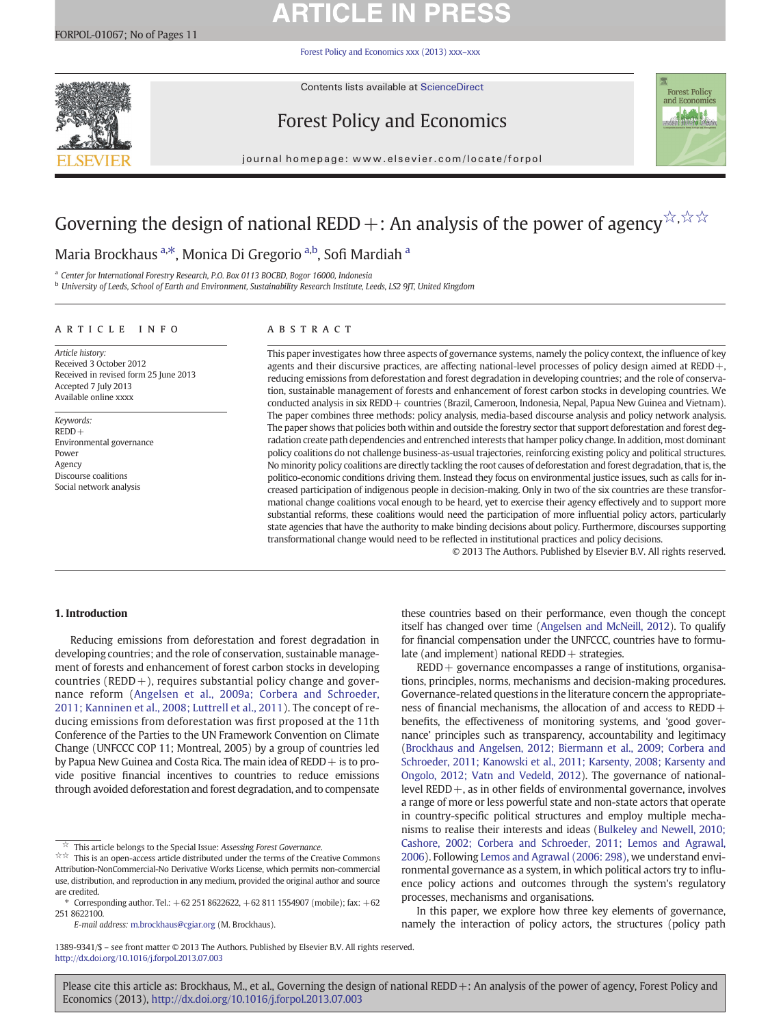# **ARTICLE IN PRESS**

[Forest Policy and Economics xxx \(2013\) xxx](http://dx.doi.org/10.1016/j.forpol.2013.07.003)–xxx



Contents lists available at ScienceDirect

## Forest Policy and Economics



journal homepage: www.elsevier.com/locate/forpol

## Governing the design of national REDD +: An analysis of the power of agency $^{\breve{\bowtie},\breve{\bowtie} \breve{\bowtie}}$

## Maria Brockhaus <sup>a,\*</sup>, Monica Di Gregorio <sup>a,b</sup>, Sofi Mardiah <sup>a</sup>

<sup>a</sup> Center for International Forestry Research, P.O. Box 0113 BOCBD, Bogor 16000, Indonesia

<sup>b</sup> University of Leeds, School of Earth and Environment, Sustainability Research Institute, Leeds, LS2 9JT, United Kingdom

### article info abstract

Article history: Received 3 October 2012 Received in revised form 25 June 2013 Accepted 7 July 2013 Available online xxxx

Keywords:  $REDD+$ Environmental governance Power Agency Discourse coalitions Social network analysis

This paper investigates how three aspects of governance systems, namely the policy context, the influence of key agents and their discursive practices, are affecting national-level processes of policy design aimed at REDD+, reducing emissions from deforestation and forest degradation in developing countries; and the role of conservation, sustainable management of forests and enhancement of forest carbon stocks in developing countries. We conducted analysis in six REDD+ countries (Brazil, Cameroon, Indonesia, Nepal, Papua New Guinea and Vietnam). The paper combines three methods: policy analysis, media-based discourse analysis and policy network analysis. The paper shows that policies both within and outside the forestry sector that support deforestation and forest degradation create path dependencies and entrenched interests that hamper policy change. In addition, most dominant policy coalitions do not challenge business-as-usual trajectories, reinforcing existing policy and political structures. No minority policy coalitions are directly tackling the root causes of deforestation and forest degradation, that is, the politico-economic conditions driving them. Instead they focus on environmental justice issues, such as calls for increased participation of indigenous people in decision-making. Only in two of the six countries are these transformational change coalitions vocal enough to be heard, yet to exercise their agency effectively and to support more substantial reforms, these coalitions would need the participation of more influential policy actors, particularly state agencies that have the authority to make binding decisions about policy. Furthermore, discourses supporting transformational change would need to be reflected in institutional practices and policy decisions.

© 2013 The Authors. Published by Elsevier B.V. All rights reserved.

### 1. Introduction

Reducing emissions from deforestation and forest degradation in developing countries; and the role of conservation, sustainable management of forests and enhancement of forest carbon stocks in developing countries ( $REDD+$ ), requires substantial policy change and governance reform ([Angelsen et al., 2009a; Corbera and Schroeder,](#page-8-0) [2011; Kanninen et al., 2008; Luttrell et al., 2011](#page-8-0)). The concept of reducing emissions from deforestation was first proposed at the 11th Conference of the Parties to the UN Framework Convention on Climate Change (UNFCCC COP 11; Montreal, 2005) by a group of countries led by Papua New Guinea and Costa Rica. The main idea of  $REDD +$  is to provide positive financial incentives to countries to reduce emissions through avoided deforestation and forest degradation, and to compensate

E-mail address: [m.brockhaus@cgiar.org](mailto:m.brockhaus@cgiar.org) (M. Brockhaus).

1389-9341/\$ – see front matter © 2013 The Authors. Published by Elsevier B.V. All rights reserved. <http://dx.doi.org/10.1016/j.forpol.2013.07.003>

these countries based on their performance, even though the concept itself has changed over time [\(Angelsen and McNeill, 2012](#page-8-0)). To qualify for financial compensation under the UNFCCC, countries have to formulate (and implement) national  $REDD +$  strategies.

 $REDD +$  governance encompasses a range of institutions, organisations, principles, norms, mechanisms and decision-making procedures. Governance-related questions in the literature concern the appropriateness of financial mechanisms, the allocation of and access to REDD+ benefits, the effectiveness of monitoring systems, and 'good governance' principles such as transparency, accountability and legitimacy [\(Brockhaus and Angelsen, 2012; Biermann et al., 2009; Corbera and](#page-9-0) [Schroeder, 2011; Kanowski et al., 2011; Karsenty, 2008; Karsenty and](#page-9-0) [Ongolo, 2012; Vatn and Vedeld, 2012\)](#page-9-0). The governance of nationallevel  $REDD+$ , as in other fields of environmental governance, involves a range of more or less powerful state and non-state actors that operate in country-specific political structures and employ multiple mechanisms to realise their interests and ideas ([Bulkeley and Newell, 2010;](#page-9-0) [Cashore, 2002; Corbera and Schroeder, 2011; Lemos and Agrawal,](#page-9-0) [2006](#page-9-0)). Following [Lemos and Agrawal \(2006: 298\),](#page-9-0) we understand environmental governance as a system, in which political actors try to influence policy actions and outcomes through the system's regulatory processes, mechanisms and organisations.

In this paper, we explore how three key elements of governance, namely the interaction of policy actors, the structures (policy path

This article belongs to the Special Issue: Assessing Forest Governance.

<sup>☆☆</sup> This is an open-access article distributed under the terms of the Creative Commons Attribution-NonCommercial-No Derivative Works License, which permits non-commercial use, distribution, and reproduction in any medium, provided the original author and source are credited.

 $*$  Corresponding author. Tel.:  $+62 251 8622622$ ,  $+62 811 1554907$  (mobile); fax:  $+62$ 251 8622100.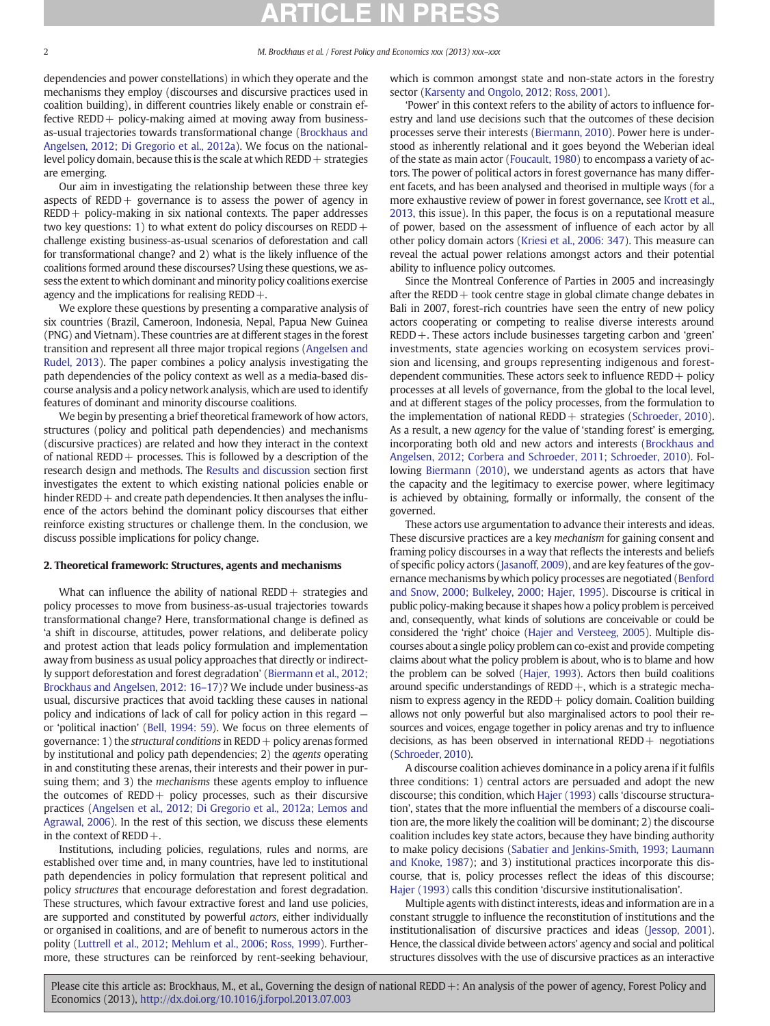dependencies and power constellations) in which they operate and the mechanisms they employ (discourses and discursive practices used in coalition building), in different countries likely enable or constrain effective  $REDD + policy$ -making aimed at moving away from businessas-usual trajectories towards transformational change [\(Brockhaus and](#page-9-0) [Angelsen, 2012; Di Gregorio et al., 2012a](#page-9-0)). We focus on the nationallevel policy domain, because this is the scale at which  $REDD +$  strategies are emerging.

Our aim in investigating the relationship between these three key aspects of  $REDD+$  governance is to assess the power of agency in  $REDD+$  policy-making in six national contexts. The paper addresses two key questions: 1) to what extent do policy discourses on REDD  $+$ challenge existing business-as-usual scenarios of deforestation and call for transformational change? and 2) what is the likely influence of the coalitions formed around these discourses? Using these questions, we assess the extent to which dominant and minority policy coalitions exercise agency and the implications for realising  $REDD +$ .

We explore these questions by presenting a comparative analysis of six countries (Brazil, Cameroon, Indonesia, Nepal, Papua New Guinea (PNG) and Vietnam). These countries are at different stages in the forest transition and represent all three major tropical regions ([Angelsen and](#page-8-0) [Rudel, 2013\)](#page-8-0). The paper combines a policy analysis investigating the path dependencies of the policy context as well as a media-based discourse analysis and a policy network analysis, which are used to identify features of dominant and minority discourse coalitions.

We begin by presenting a brief theoretical framework of how actors, structures (policy and political path dependencies) and mechanisms (discursive practices) are related and how they interact in the context of national REDD + processes. This is followed by a description of the research design and methods. The [Results and discussion](#page-3-0) section first investigates the extent to which existing national policies enable or hinder REDD  $+$  and create path dependencies. It then analyses the influence of the actors behind the dominant policy discourses that either reinforce existing structures or challenge them. In the conclusion, we discuss possible implications for policy change.

#### 2. Theoretical framework: Structures, agents and mechanisms

What can influence the ability of national  $REDD+$  strategies and policy processes to move from business-as-usual trajectories towards transformational change? Here, transformational change is defined as 'a shift in discourse, attitudes, power relations, and deliberate policy and protest action that leads policy formulation and implementation away from business as usual policy approaches that directly or indirectly support deforestation and forest degradation' [\(Biermann et al., 2012;](#page-9-0) [Brockhaus and Angelsen, 2012: 16](#page-9-0)–17)? We include under business-as usual, discursive practices that avoid tackling these causes in national policy and indications of lack of call for policy action in this regard or 'political inaction' [\(Bell, 1994: 59](#page-8-0)). We focus on three elements of governance: 1) the structural conditions in  $REDD +$  policy arenas formed by institutional and policy path dependencies; 2) the agents operating in and constituting these arenas, their interests and their power in pursuing them; and 3) the *mechanisms* these agents employ to influence the outcomes of  $REDD+$  policy processes, such as their discursive practices [\(Angelsen et al., 2012; Di Gregorio et al., 2012a; Lemos and](#page-8-0) [Agrawal, 2006](#page-8-0)). In the rest of this section, we discuss these elements in the context of  $REDD +$ .

Institutions, including policies, regulations, rules and norms, are established over time and, in many countries, have led to institutional path dependencies in policy formulation that represent political and policy structures that encourage deforestation and forest degradation. These structures, which favour extractive forest and land use policies, are supported and constituted by powerful actors, either individually or organised in coalitions, and are of benefit to numerous actors in the polity [\(Luttrell et al., 2012; Mehlum et al., 2006; Ross, 1999\)](#page-9-0). Furthermore, these structures can be reinforced by rent-seeking behaviour, which is common amongst state and non-state actors in the forestry sector ([Karsenty and Ongolo, 2012; Ross, 2001\)](#page-9-0).

'Power' in this context refers to the ability of actors to influence forestry and land use decisions such that the outcomes of these decision processes serve their interests [\(Biermann, 2010](#page-8-0)). Power here is understood as inherently relational and it goes beyond the Weberian ideal of the state as main actor ([Foucault, 1980](#page-9-0)) to encompass a variety of actors. The power of political actors in forest governance has many different facets, and has been analysed and theorised in multiple ways (for a more exhaustive review of power in forest governance, see [Krott et al.,](#page-9-0) [2013,](#page-9-0) this issue). In this paper, the focus is on a reputational measure of power, based on the assessment of influence of each actor by all other policy domain actors [\(Kriesi et al., 2006: 347](#page-9-0)). This measure can reveal the actual power relations amongst actors and their potential ability to influence policy outcomes.

Since the Montreal Conference of Parties in 2005 and increasingly after the REDD  $+$  took centre stage in global climate change debates in Bali in 2007, forest-rich countries have seen the entry of new policy actors cooperating or competing to realise diverse interests around  $REDD+$ . These actors include businesses targeting carbon and 'green' investments, state agencies working on ecosystem services provision and licensing, and groups representing indigenous and forestdependent communities. These actors seek to influence  $REDD + policy$ processes at all levels of governance, from the global to the local level, and at different stages of the policy processes, from the formulation to the implementation of national REDD+ strategies [\(Schroeder, 2010\)](#page-10-0). As a result, a new agency for the value of 'standing forest' is emerging, incorporating both old and new actors and interests ([Brockhaus and](#page-9-0) [Angelsen, 2012; Corbera and Schroeder, 2011; Schroeder, 2010](#page-9-0)). Following [Biermann \(2010\)](#page-8-0), we understand agents as actors that have the capacity and the legitimacy to exercise power, where legitimacy is achieved by obtaining, formally or informally, the consent of the governed.

These actors use argumentation to advance their interests and ideas. These discursive practices are a key mechanism for gaining consent and framing policy discourses in a way that reflects the interests and beliefs of specific policy actors [\(Jasanoff, 2009](#page-9-0)), and are key features of the governance mechanisms by which policy processes are negotiated ([Benford](#page-8-0) [and Snow, 2000; Bulkeley, 2000; Hajer, 1995](#page-8-0)). Discourse is critical in public policy-making because it shapes how a policy problem is perceived and, consequently, what kinds of solutions are conceivable or could be considered the 'right' choice ([Hajer and Versteeg, 2005](#page-9-0)). Multiple discourses about a single policy problem can co-exist and provide competing claims about what the policy problem is about, who is to blame and how the problem can be solved [\(Hajer, 1993](#page-9-0)). Actors then build coalitions around specific understandings of  $REDD+$ , which is a strategic mechanism to express agency in the REDD  $+$  policy domain. Coalition building allows not only powerful but also marginalised actors to pool their resources and voices, engage together in policy arenas and try to influence decisions, as has been observed in international REDD + negotiations [\(Schroeder, 2010](#page-10-0)).

A discourse coalition achieves dominance in a policy arena if it fulfils three conditions: 1) central actors are persuaded and adopt the new discourse; this condition, which [Hajer \(1993\)](#page-9-0) calls 'discourse structuration', states that the more influential the members of a discourse coalition are, the more likely the coalition will be dominant; 2) the discourse coalition includes key state actors, because they have binding authority to make policy decisions ([Sabatier and Jenkins-Smith, 1993; Laumann](#page-9-0) [and Knoke, 1987\)](#page-9-0); and 3) institutional practices incorporate this discourse, that is, policy processes reflect the ideas of this discourse; [Hajer \(1993\)](#page-9-0) calls this condition 'discursive institutionalisation'.

Multiple agents with distinct interests, ideas and information are in a constant struggle to influence the reconstitution of institutions and the institutionalisation of discursive practices and ideas ([Jessop, 2001\)](#page-9-0). Hence, the classical divide between actors' agency and social and political structures dissolves with the use of discursive practices as an interactive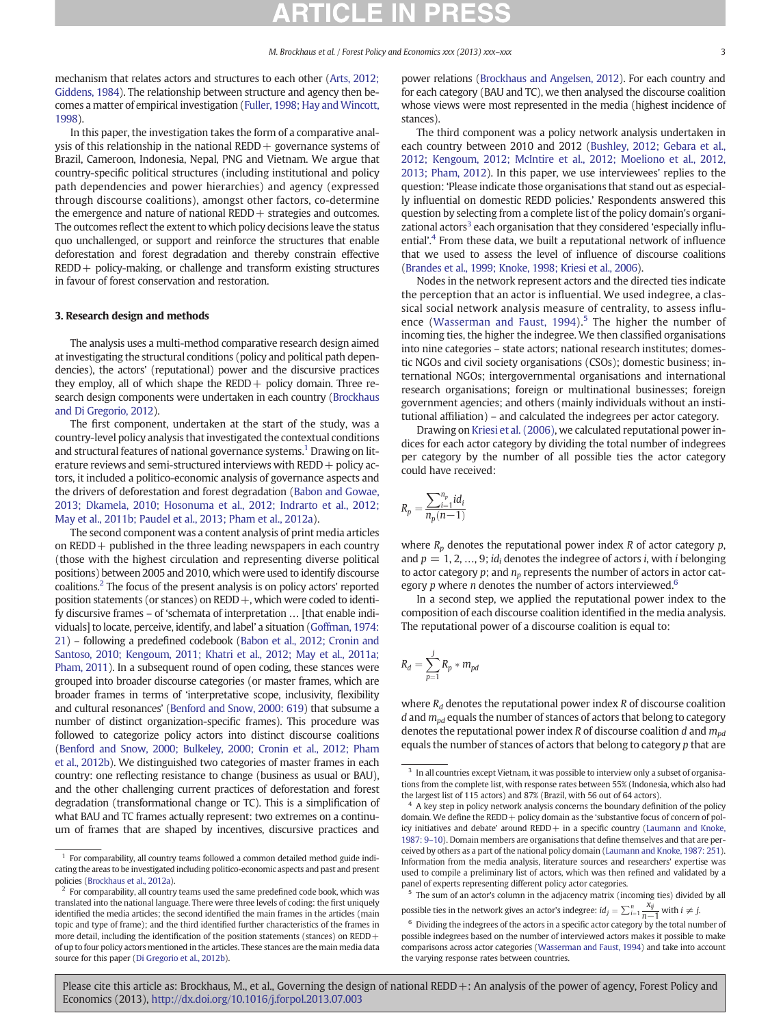mechanism that relates actors and structures to each other [\(Arts, 2012;](#page-8-0) [Giddens, 1984](#page-8-0)). The relationship between structure and agency then becomes a matter of empirical investigation [\(Fuller, 1998; Hay and Wincott,](#page-9-0) [1998](#page-9-0)).

In this paper, the investigation takes the form of a comparative analysis of this relationship in the national  $REDD +$  governance systems of Brazil, Cameroon, Indonesia, Nepal, PNG and Vietnam. We argue that country-specific political structures (including institutional and policy path dependencies and power hierarchies) and agency (expressed through discourse coalitions), amongst other factors, co-determine the emergence and nature of national  $REDD +$  strategies and outcomes. The outcomes reflect the extent to which policy decisions leave the status quo unchallenged, or support and reinforce the structures that enable deforestation and forest degradation and thereby constrain effective  $REDD+$  policy-making, or challenge and transform existing structures in favour of forest conservation and restoration.

#### 3. Research design and methods

The analysis uses a multi-method comparative research design aimed at investigating the structural conditions (policy and political path dependencies), the actors' (reputational) power and the discursive practices they employ, all of which shape the  $REDD +$  policy domain. Three research design components were undertaken in each country ([Brockhaus](#page-9-0) [and Di Gregorio, 2012\)](#page-9-0).

The first component, undertaken at the start of the study, was a country-level policy analysis that investigated the contextual conditions and structural features of national governance systems.<sup>1</sup> Drawing on literature reviews and semi-structured interviews with REDD+ policy actors, it included a politico-economic analysis of governance aspects and the drivers of deforestation and forest degradation [\(Babon and Gowae,](#page-8-0) [2013; Dkamela, 2010; Hosonuma et al., 2012; Indrarto et al., 2012;](#page-8-0) [May et al., 2011b; Paudel et al., 2013; Pham et al., 2012a](#page-8-0)).

The second component was a content analysis of print media articles on  $REDD+$  published in the three leading newspapers in each country (those with the highest circulation and representing diverse political positions) between 2005 and 2010, which were used to identify discourse coalitions.2 The focus of the present analysis is on policy actors' reported position statements (or stances) on  $REDD +$ , which were coded to identify discursive frames – of 'schemata of interpretation … [that enable individuals] to locate, perceive, identify, and label' a situation [\(Goffman, 1974:](#page-9-0) [21](#page-9-0)) – following a predefined codebook [\(Babon et al., 2012; Cronin and](#page-8-0) [Santoso, 2010; Kengoum, 2011; Khatri et al., 2012; May et al., 2011a;](#page-8-0) [Pham, 2011\)](#page-8-0). In a subsequent round of open coding, these stances were grouped into broader discourse categories (or master frames, which are broader frames in terms of 'interpretative scope, inclusivity, flexibility and cultural resonances' ([Benford and Snow, 2000: 619\)](#page-8-0) that subsume a number of distinct organization-specific frames). This procedure was followed to categorize policy actors into distinct discourse coalitions [\(Benford and Snow, 2000; Bulkeley, 2000; Cronin et al., 2012; Pham](#page-8-0) [et al., 2012b\)](#page-8-0). We distinguished two categories of master frames in each country: one reflecting resistance to change (business as usual or BAU), and the other challenging current practices of deforestation and forest degradation (transformational change or TC). This is a simplification of what BAU and TC frames actually represent: two extremes on a continuum of frames that are shaped by incentives, discursive practices and power relations ([Brockhaus and Angelsen, 2012\)](#page-9-0). For each country and for each category (BAU and TC), we then analysed the discourse coalition whose views were most represented in the media (highest incidence of stances).

The third component was a policy network analysis undertaken in each country between 2010 and 2012 [\(Bushley, 2012; Gebara et al.,](#page-9-0) [2012; Kengoum, 2012; McIntire et al., 2012; Moeliono et al., 2012,](#page-9-0) [2013; Pham, 2012](#page-9-0)). In this paper, we use interviewees' replies to the question: 'Please indicate those organisations that stand out as especially influential on domestic REDD policies.' Respondents answered this question by selecting from a complete list of the policy domain's organizational actors<sup>3</sup> each organisation that they considered 'especially influential'. <sup>4</sup> From these data, we built a reputational network of influence that we used to assess the level of influence of discourse coalitions [\(Brandes et al., 1999; Knoke, 1998; Kriesi et al., 2006\)](#page-9-0).

Nodes in the network represent actors and the directed ties indicate the perception that an actor is influential. We used indegree, a classical social network analysis measure of centrality, to assess influence (Wasserman and Faust,  $1994$ ).<sup>5</sup> The higher the number of incoming ties, the higher the indegree. We then classified organisations into nine categories – state actors; national research institutes; domestic NGOs and civil society organisations (CSOs); domestic business; international NGOs; intergovernmental organisations and international research organisations; foreign or multinational businesses; foreign government agencies; and others (mainly individuals without an institutional affiliation) – and calculated the indegrees per actor category.

Drawing on [Kriesi et al. \(2006\)](#page-9-0), we calculated reputational power indices for each actor category by dividing the total number of indegrees per category by the number of all possible ties the actor category could have received:

$$
R_p = \frac{\sum_{i=1}^{n_p} id_i}{n_p(n-1)}
$$

where  $R_p$  denotes the reputational power index R of actor category p, and  $p = 1, 2, ..., 9$ ; id<sub>i</sub> denotes the indegree of actors i, with i belonging to actor category  $p$ ; and  $n_p$  represents the number of actors in actor category p where *n* denotes the number of actors interviewed.<sup>6</sup>

In a second step, we applied the reputational power index to the composition of each discourse coalition identified in the media analysis. The reputational power of a discourse coalition is equal to:

$$
R_d = \sum_{p=1}^j R_p * m_{pd}
$$

where  $R_d$  denotes the reputational power index R of discourse coalition d and  $m_{nd}$  equals the number of stances of actors that belong to category denotes the reputational power index R of discourse coalition d and  $m_{nd}$ equals the number of stances of actors that belong to category p that are

<sup>5</sup> The sum of an actor's column in the adjacency matrix (incoming ties) divided by all possible ties in the network gives an actor's indegree:  $id_j = \sum_{i=1}^n \frac{x_{ij}}{n-1}$  with  $i \neq j$ .

 $1$  For comparability, all country teams followed a common detailed method guide indicating the areas to be investigated including politico-economic aspects and past and present policies ([Brockhaus et al., 2012a\)](#page-9-0).

 $2$  For comparability, all country teams used the same predefined code book, which was translated into the national language. There were three levels of coding: the first uniquely identified the media articles; the second identified the main frames in the articles (main topic and type of frame); and the third identified further characteristics of the frames in more detail, including the identification of the position statements (stances) on REDD+ of up to four policy actors mentioned in the articles. These stances are the main media data source for this paper [\(Di Gregorio et al., 2012b\)](#page-9-0).

<sup>&</sup>lt;sup>3</sup> In all countries except Vietnam, it was possible to interview only a subset of organisations from the complete list, with response rates between 55% (Indonesia, which also had the largest list of 115 actors) and 87% (Brazil, with 56 out of 64 actors).

<sup>4</sup> A key step in policy network analysis concerns the boundary definition of the policy domain. We define the REDD+ policy domain as the 'substantive focus of concern of policy initiatives and debate' around  $REDD+$  in a specific country [\(Laumann and Knoke,](#page-9-0) [1987: 9](#page-9-0)–10). Domain members are organisations that define themselves and that are perceived by others as a part of the national policy domain ([Laumann and Knoke, 1987: 251](#page-9-0)). Information from the media analysis, literature sources and researchers' expertise was used to compile a preliminary list of actors, which was then refined and validated by a panel of experts representing different policy actor categories.<br>
<sup>5</sup> The sum of an actor's calumnative in the sum of

<sup>6</sup> Dividing the indegrees of the actors in a specific actor category by the total number of possible indegrees based on the number of interviewed actors makes it possible to make comparisons across actor categories [\(Wasserman and Faust, 1994\)](#page-10-0) and take into account the varying response rates between countries.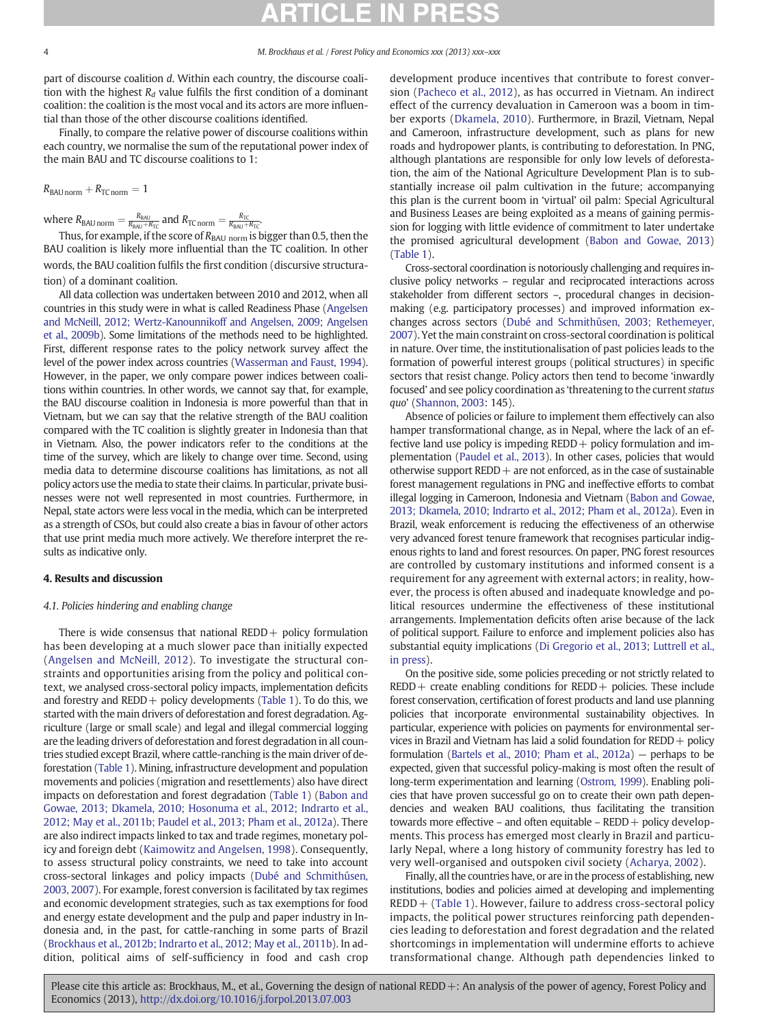<span id="page-3-0"></span>part of discourse coalition d. Within each country, the discourse coalition with the highest  $R_d$  value fulfils the first condition of a dominant coalition: the coalition is the most vocal and its actors are more influential than those of the other discourse coalitions identified.

Finally, to compare the relative power of discourse coalitions within each country, we normalise the sum of the reputational power index of the main BAU and TC discourse coalitions to 1:

$$
R_{\text{BAU norm}} + R_{\text{TC norm}} = 1
$$

where  $R_{\text{BAU norm}} = \frac{R_{\text{BAU}}}{R_{\text{BAU}} + R_{\text{TC}}}$  and  $R_{\text{TC norm}} = \frac{R_{\text{TC}}}{R_{\text{BAU}} + R_{\text{TC}}}$ .

Thus, for example, if the score of  $R_{\mathsf{BAU}}$   $_{\mathsf{norm}}$  is bigger than 0.5, then the BAU coalition is likely more influential than the TC coalition. In other words, the BAU coalition fulfils the first condition (discursive structuration) of a dominant coalition.

All data collection was undertaken between 2010 and 2012, when all countries in this study were in what is called Readiness Phase [\(Angelsen](#page-8-0) [and McNeill, 2012; Wertz-Kanounnikoff and Angelsen, 2009; Angelsen](#page-8-0) [et al., 2009b\)](#page-8-0). Some limitations of the methods need to be highlighted. First, different response rates to the policy network survey affect the level of the power index across countries [\(Wasserman and Faust, 1994\)](#page-10-0). However, in the paper, we only compare power indices between coalitions within countries. In other words, we cannot say that, for example, the BAU discourse coalition in Indonesia is more powerful than that in Vietnam, but we can say that the relative strength of the BAU coalition compared with the TC coalition is slightly greater in Indonesia than that in Vietnam. Also, the power indicators refer to the conditions at the time of the survey, which are likely to change over time. Second, using media data to determine discourse coalitions has limitations, as not all policy actors use the media to state their claims. In particular, private businesses were not well represented in most countries. Furthermore, in Nepal, state actors were less vocal in the media, which can be interpreted as a strength of CSOs, but could also create a bias in favour of other actors that use print media much more actively. We therefore interpret the results as indicative only.

### 4. Results and discussion

#### 4.1. Policies hindering and enabling change

There is wide consensus that national  $REDD +$  policy formulation has been developing at a much slower pace than initially expected [\(Angelsen and McNeill, 2012\)](#page-8-0). To investigate the structural constraints and opportunities arising from the policy and political context, we analysed cross-sectoral policy impacts, implementation deficits and forestry and  $REDD + policy$  developments ([Table 1\)](#page-4-0). To do this, we started with the main drivers of deforestation and forest degradation. Agriculture (large or small scale) and legal and illegal commercial logging are the leading drivers of deforestation and forest degradation in all countries studied except Brazil, where cattle-ranching is the main driver of deforestation [\(Table 1\)](#page-4-0). Mining, infrastructure development and population movements and policies (migration and resettlements) also have direct impacts on deforestation and forest degradation ([Table 1\)](#page-4-0) ([Babon and](#page-8-0) [Gowae, 2013; Dkamela, 2010; Hosonuma et al., 2012; Indrarto et al.,](#page-8-0) [2012; May et al., 2011b; Paudel et al., 2013; Pham et al., 2012a](#page-8-0)). There are also indirect impacts linked to tax and trade regimes, monetary policy and foreign debt [\(Kaimowitz and Angelsen, 1998](#page-9-0)). Consequently, to assess structural policy constraints, we need to take into account cross-sectoral linkages and policy impacts [\(Dubé and Schmith](#page-9-0)űsen, [2003, 2007\)](#page-9-0). For example, forest conversion is facilitated by tax regimes and economic development strategies, such as tax exemptions for food and energy estate development and the pulp and paper industry in Indonesia and, in the past, for cattle-ranching in some parts of Brazil [\(Brockhaus et al., 2012b; Indrarto et al., 2012; May et al., 2011b\)](#page-9-0). In addition, political aims of self-sufficiency in food and cash crop development produce incentives that contribute to forest conversion [\(Pacheco et al., 2012](#page-9-0)), as has occurred in Vietnam. An indirect effect of the currency devaluation in Cameroon was a boom in timber exports ([Dkamela, 2010\)](#page-9-0). Furthermore, in Brazil, Vietnam, Nepal and Cameroon, infrastructure development, such as plans for new roads and hydropower plants, is contributing to deforestation. In PNG, although plantations are responsible for only low levels of deforestation, the aim of the National Agriculture Development Plan is to substantially increase oil palm cultivation in the future; accompanying this plan is the current boom in 'virtual' oil palm: Special Agricultural and Business Leases are being exploited as a means of gaining permission for logging with little evidence of commitment to later undertake the promised agricultural development [\(Babon and Gowae, 2013](#page-8-0)) [\(Table 1\)](#page-4-0).

Cross-sectoral coordination is notoriously challenging and requires inclusive policy networks – regular and reciprocated interactions across stakeholder from different sectors –, procedural changes in decisionmaking (e.g. participatory processes) and improved information exchanges across sectors (Dubé and Schmithű[sen, 2003; Rethemeyer,](#page-9-0) [2007\)](#page-9-0). Yet the main constraint on cross-sectoral coordination is political in nature. Over time, the institutionalisation of past policies leads to the formation of powerful interest groups (political structures) in specific sectors that resist change. Policy actors then tend to become 'inwardly focused' and see policy coordination as 'threatening to the current status quo' ([Shannon, 2003:](#page-10-0) 145).

Absence of policies or failure to implement them effectively can also hamper transformational change, as in Nepal, where the lack of an effective land use policy is impeding REDD+ policy formulation and implementation ([Paudel et al., 2013\)](#page-9-0). In other cases, policies that would otherwise support  $REDD +$  are not enforced, as in the case of sustainable forest management regulations in PNG and ineffective efforts to combat illegal logging in Cameroon, Indonesia and Vietnam ([Babon and Gowae,](#page-8-0) [2013; Dkamela, 2010; Indrarto et al., 2012; Pham et al., 2012a](#page-8-0)). Even in Brazil, weak enforcement is reducing the effectiveness of an otherwise very advanced forest tenure framework that recognises particular indigenous rights to land and forest resources. On paper, PNG forest resources are controlled by customary institutions and informed consent is a requirement for any agreement with external actors; in reality, however, the process is often abused and inadequate knowledge and political resources undermine the effectiveness of these institutional arrangements. Implementation deficits often arise because of the lack of political support. Failure to enforce and implement policies also has substantial equity implications [\(Di Gregorio et al., 2013; Luttrell et al.,](#page-9-0) [in press](#page-9-0)).

On the positive side, some policies preceding or not strictly related to  $REDD+$  create enabling conditions for  $REDD+$  policies. These include forest conservation, certification of forest products and land use planning policies that incorporate environmental sustainability objectives. In particular, experience with policies on payments for environmental services in Brazil and Vietnam has laid a solid foundation for  $REDD + policy$ formulation [\(Bartels et al., 2010; Pham et al., 2012a\)](#page-8-0) — perhaps to be expected, given that successful policy-making is most often the result of long-term experimentation and learning [\(Ostrom, 1999\)](#page-9-0). Enabling policies that have proven successful go on to create their own path dependencies and weaken BAU coalitions, thus facilitating the transition towards more effective  $-$  and often equitable  $-$  REDD  $+$  policy developments. This process has emerged most clearly in Brazil and particularly Nepal, where a long history of community forestry has led to very well-organised and outspoken civil society [\(Acharya, 2002\)](#page-8-0).

Finally, all the countries have, or are in the process of establishing, new institutions, bodies and policies aimed at developing and implementing  $REDD+$  [\(Table 1](#page-4-0)). However, failure to address cross-sectoral policy impacts, the political power structures reinforcing path dependencies leading to deforestation and forest degradation and the related shortcomings in implementation will undermine efforts to achieve transformational change. Although path dependencies linked to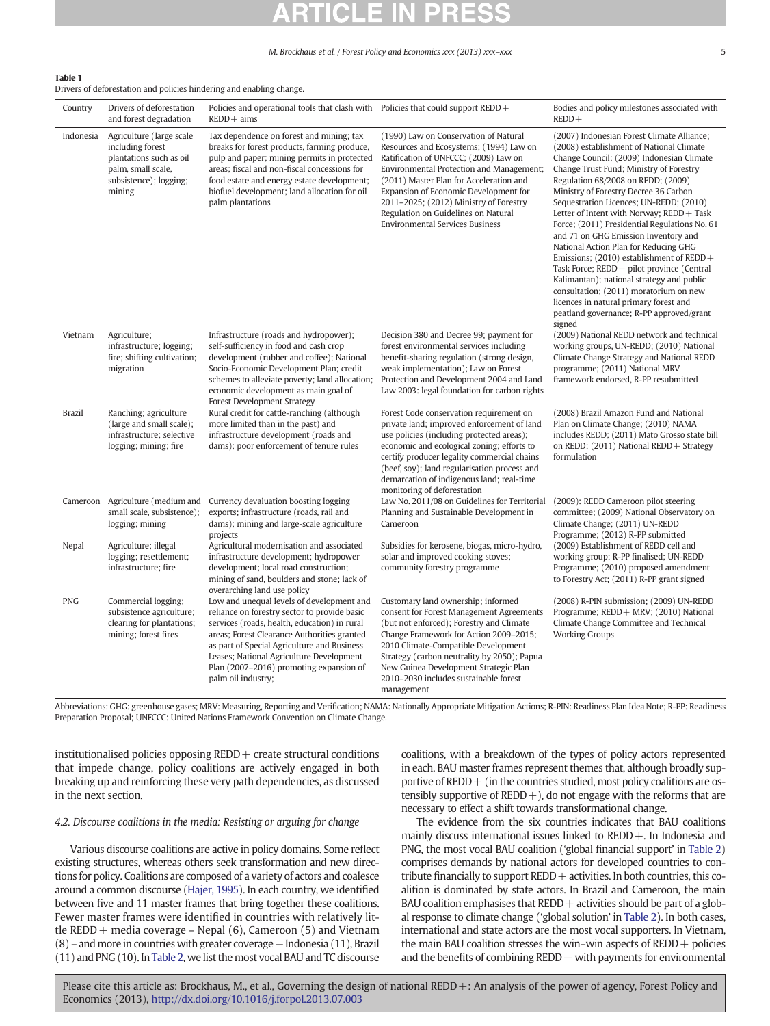### <span id="page-4-0"></span>Table 1

Drivers of deforestation and policies hindering and enabling change.

| Country       | Drivers of deforestation<br>and forest degradation                                                                                | Policies and operational tools that clash with Policies that could support REDD $+$<br>$REDD+ aims$                                                                                                                                                                                                                                                  |                                                                                                                                                                                                                                                                                                                                                                                      | Bodies and policy milestones associated with<br>$REDD+$                                                                                                                                                                                                                                                                                                                                                                                                                                                                                                                                                                                                                                                                                                                  |
|---------------|-----------------------------------------------------------------------------------------------------------------------------------|------------------------------------------------------------------------------------------------------------------------------------------------------------------------------------------------------------------------------------------------------------------------------------------------------------------------------------------------------|--------------------------------------------------------------------------------------------------------------------------------------------------------------------------------------------------------------------------------------------------------------------------------------------------------------------------------------------------------------------------------------|--------------------------------------------------------------------------------------------------------------------------------------------------------------------------------------------------------------------------------------------------------------------------------------------------------------------------------------------------------------------------------------------------------------------------------------------------------------------------------------------------------------------------------------------------------------------------------------------------------------------------------------------------------------------------------------------------------------------------------------------------------------------------|
| Indonesia     | Agriculture (large scale<br>including forest<br>plantations such as oil<br>palm, small scale,<br>subsistence); logging;<br>mining | Tax dependence on forest and mining; tax<br>breaks for forest products, farming produce,<br>pulp and paper; mining permits in protected<br>areas; fiscal and non-fiscal concessions for<br>food estate and energy estate development;<br>biofuel development; land allocation for oil<br>palm plantations                                            | (1990) Law on Conservation of Natural<br>Resources and Ecosystems; (1994) Law on<br>Ratification of UNFCCC; (2009) Law on<br>Environmental Protection and Management;<br>(2011) Master Plan for Acceleration and<br>Expansion of Economic Development for<br>2011-2025; (2012) Ministry of Forestry<br>Regulation on Guidelines on Natural<br><b>Environmental Services Business</b> | (2007) Indonesian Forest Climate Alliance;<br>(2008) establishment of National Climate<br>Change Council; (2009) Indonesian Climate<br>Change Trust Fund; Ministry of Forestry<br>Regulation 68/2008 on REDD; (2009)<br>Ministry of Forestry Decree 36 Carbon<br>Sequestration Licences; UN-REDD; (2010)<br>Letter of Intent with Norway; REDD + Task<br>Force; (2011) Presidential Regulations No. 61<br>and 71 on GHG Emission Inventory and<br>National Action Plan for Reducing GHG<br>Emissions; (2010) establishment of REDD+<br>Task Force; REDD + pilot province (Central<br>Kalimantan); national strategy and public<br>consultation; (2011) moratorium on new<br>licences in natural primary forest and<br>peatland governance; R-PP approved/grant<br>signed |
| Vietnam       | Agriculture;<br>infrastructure; logging;<br>fire; shifting cultivation;<br>migration                                              | Infrastructure (roads and hydropower);<br>self-sufficiency in food and cash crop<br>development (rubber and coffee); National<br>Socio-Economic Development Plan; credit<br>schemes to alleviate poverty; land allocation;<br>economic development as main goal of<br>Forest Development Strategy                                                    | Decision 380 and Decree 99; payment for<br>forest environmental services including<br>benefit-sharing regulation (strong design,<br>weak implementation); Law on Forest<br>Protection and Development 2004 and Land<br>Law 2003: legal foundation for carbon rights                                                                                                                  | (2009) National REDD network and technical<br>working groups, UN-REDD; (2010) National<br>Climate Change Strategy and National REDD<br>programme; (2011) National MRV<br>framework endorsed, R-PP resubmitted                                                                                                                                                                                                                                                                                                                                                                                                                                                                                                                                                            |
| <b>Brazil</b> | Ranching; agriculture<br>(large and small scale);<br>infrastructure; selective<br>logging; mining; fire                           | Rural credit for cattle-ranching (although<br>more limited than in the past) and<br>infrastructure development (roads and<br>dams); poor enforcement of tenure rules                                                                                                                                                                                 | Forest Code conservation requirement on<br>private land; improved enforcement of land<br>use policies (including protected areas);<br>economic and ecological zoning; efforts to<br>certify producer legality commercial chains<br>(beef, soy); land regularisation process and<br>demarcation of indigenous land; real-time<br>monitoring of deforestation                          | (2008) Brazil Amazon Fund and National<br>Plan on Climate Change; (2010) NAMA<br>includes REDD; (2011) Mato Grosso state bill<br>on REDD; (2011) National REDD + Strategy<br>formulation                                                                                                                                                                                                                                                                                                                                                                                                                                                                                                                                                                                 |
| Cameroon      | Agriculture (medium and<br>small scale, subsistence);<br>logging; mining                                                          | Currency devaluation boosting logging<br>exports; infrastructure (roads, rail and<br>dams); mining and large-scale agriculture<br>projects                                                                                                                                                                                                           | Law No. 2011/08 on Guidelines for Territorial<br>Planning and Sustainable Development in<br>Cameroon                                                                                                                                                                                                                                                                                 | (2009): REDD Cameroon pilot steering<br>committee; (2009) National Observatory on<br>Climate Change; (2011) UN-REDD<br>Programme; (2012) R-PP submitted                                                                                                                                                                                                                                                                                                                                                                                                                                                                                                                                                                                                                  |
| Nepal         | Agriculture; illegal<br>logging; resettlement;<br>infrastructure; fire                                                            | Agricultural modernisation and associated<br>infrastructure development; hydropower<br>development; local road construction;<br>mining of sand, boulders and stone; lack of<br>overarching land use policy                                                                                                                                           | Subsidies for kerosene, biogas, micro-hydro,<br>solar and improved cooking stoves;<br>community forestry programme                                                                                                                                                                                                                                                                   | (2009) Establishment of REDD cell and<br>working group; R-PP finalised; UN-REDD<br>Programme; (2010) proposed amendment<br>to Forestry Act; (2011) R-PP grant signed                                                                                                                                                                                                                                                                                                                                                                                                                                                                                                                                                                                                     |
| <b>PNG</b>    | Commercial logging;<br>subsistence agriculture;<br>clearing for plantations;<br>mining; forest fires                              | Low and unequal levels of development and<br>reliance on forestry sector to provide basic<br>services (roads, health, education) in rural<br>areas; Forest Clearance Authorities granted<br>as part of Special Agriculture and Business<br>Leases; National Agriculture Development<br>Plan (2007-2016) promoting expansion of<br>palm oil industry; | Customary land ownership; informed<br>consent for Forest Management Agreements<br>(but not enforced); Forestry and Climate<br>Change Framework for Action 2009-2015;<br>2010 Climate-Compatible Development<br>Strategy (carbon neutrality by 2050); Papua<br>New Guinea Development Strategic Plan<br>2010-2030 includes sustainable forest<br>management                           | (2008) R-PIN submission; (2009) UN-REDD<br>Programme; REDD + MRV; (2010) National<br>Climate Change Committee and Technical<br><b>Working Groups</b>                                                                                                                                                                                                                                                                                                                                                                                                                                                                                                                                                                                                                     |

Abbreviations: GHG: greenhouse gases; MRV: Measuring, Reporting and Verification; NAMA: Nationally Appropriate Mitigation Actions; R-PIN: Readiness Plan Idea Note; R-PP: Readiness Preparation Proposal; UNFCCC: United Nations Framework Convention on Climate Change.

institutionalised policies opposing  $REDD +$  create structural conditions that impede change, policy coalitions are actively engaged in both breaking up and reinforcing these very path dependencies, as discussed in the next section.

### 4.2. Discourse coalitions in the media: Resisting or arguing for change

Various discourse coalitions are active in policy domains. Some reflect existing structures, whereas others seek transformation and new directions for policy. Coalitions are composed of a variety of actors and coalesce around a common discourse [\(Hajer, 1995\)](#page-9-0). In each country, we identified between five and 11 master frames that bring together these coalitions. Fewer master frames were identified in countries with relatively little REDD+ media coverage – Nepal (6), Cameroon (5) and Vietnam (8) – and more in countries with greater coverage — Indonesia (11), Brazil (11) and PNG (10). In [Table 2,](#page-5-0) we list the most vocal BAU and TC discourse

coalitions, with a breakdown of the types of policy actors represented in each. BAU master frames represent themes that, although broadly supportive of  $REDD+$  (in the countries studied, most policy coalitions are ostensibly supportive of  $REDD+$ ), do not engage with the reforms that are necessary to effect a shift towards transformational change.

The evidence from the six countries indicates that BAU coalitions mainly discuss international issues linked to REDD +. In Indonesia and PNG, the most vocal BAU coalition ('global financial support' in [Table 2](#page-5-0)) comprises demands by national actors for developed countries to contribute financially to support  $REDD +$  activities. In both countries, this coalition is dominated by state actors. In Brazil and Cameroon, the main BAU coalition emphasises that  $REDD +$  activities should be part of a global response to climate change ('global solution' in [Table 2\)](#page-5-0). In both cases, international and state actors are the most vocal supporters. In Vietnam, the main BAU coalition stresses the win–win aspects of  $REDD +$  policies and the benefits of combining  $REDD +$  with payments for environmental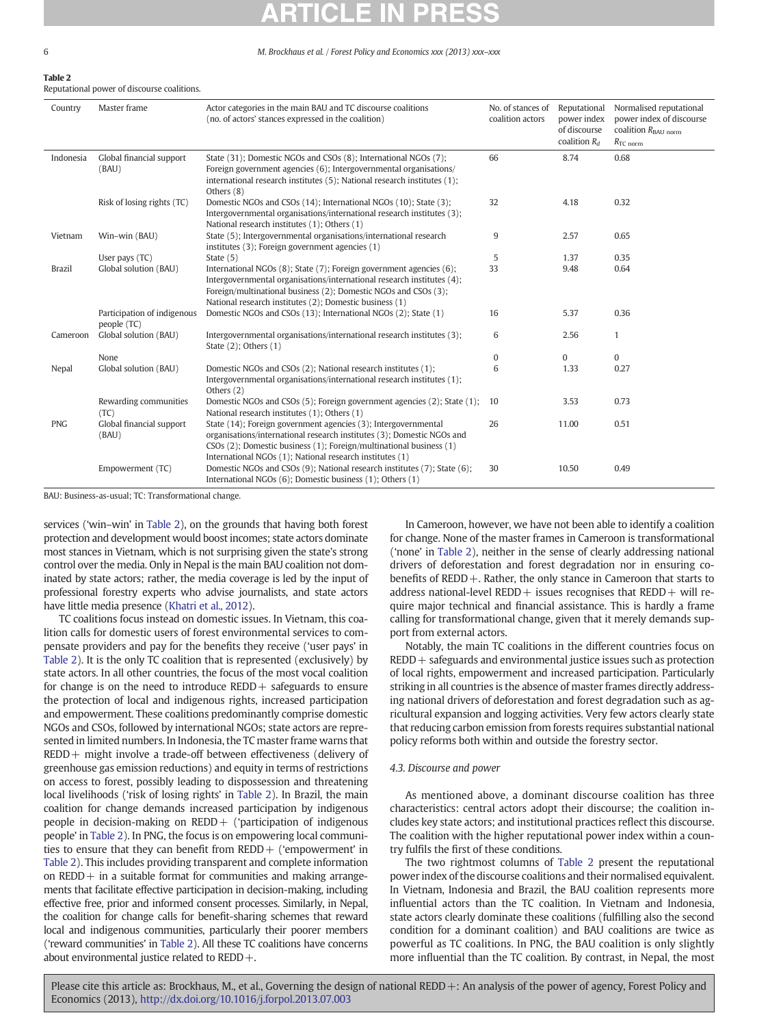#### <span id="page-5-0"></span>Table 2 Reputational power of discourse coalitions.

| Country       | Master frame                               | Actor categories in the main BAU and TC discourse coalitions<br>(no. of actors' stances expressed in the coalition)                                                                                                                                                         | No. of stances of<br>coalition actors | Reputational<br>power index<br>of discourse<br>coalition $R_d$ | Normalised reputational<br>power index of discourse<br>coalition $R_{\text{BALI norm}}$<br>$R_{\text{TC norm}}$ |
|---------------|--------------------------------------------|-----------------------------------------------------------------------------------------------------------------------------------------------------------------------------------------------------------------------------------------------------------------------------|---------------------------------------|----------------------------------------------------------------|-----------------------------------------------------------------------------------------------------------------|
| Indonesia     | Global financial support<br>(BAU)          | State (31); Domestic NGOs and CSOs (8); International NGOs (7);<br>Foreign government agencies (6); Intergovernmental organisations/<br>international research institutes (5); National research institutes (1);<br>Others $(8)$                                            | 66                                    | 8.74                                                           | 0.68                                                                                                            |
|               | Risk of losing rights (TC)                 | Domestic NGOs and CSOs (14); International NGOs (10); State (3);<br>Intergovernmental organisations/international research institutes (3);<br>National research institutes (1); Others (1)                                                                                  | 32                                    | 4.18                                                           | 0.32                                                                                                            |
| Vietnam       | Win-win (BAU)                              | State (5); Intergovernmental organisations/international research<br>institutes (3); Foreign government agencies (1)                                                                                                                                                        | 9                                     | 2.57                                                           | 0.65                                                                                                            |
|               | User pays (TC)                             | State $(5)$                                                                                                                                                                                                                                                                 | 5                                     | 1.37                                                           | 0.35                                                                                                            |
| <b>Brazil</b> | Global solution (BAU)                      | International NGOs (8); State (7); Foreign government agencies (6);<br>Intergovernmental organisations/international research institutes (4);<br>Foreign/multinational business (2); Domestic NGOs and CSOs (3);<br>National research institutes (2); Domestic business (1) | 33                                    | 9.48                                                           | 0.64                                                                                                            |
|               | Participation of indigenous<br>people (TC) | Domestic NGOs and CSOs (13); International NGOs (2); State (1)                                                                                                                                                                                                              | 16                                    | 5.37                                                           | 0.36                                                                                                            |
| Cameroon      | Global solution (BAU)                      | Intergovernmental organisations/international research institutes (3);<br>State $(2)$ ; Others $(1)$                                                                                                                                                                        | 6                                     | 2.56                                                           | 1                                                                                                               |
|               | None                                       |                                                                                                                                                                                                                                                                             | 0                                     | $\mathbf{0}$                                                   | $\Omega$                                                                                                        |
| Nepal         | Global solution (BAU)                      | Domestic NGOs and CSOs (2); National research institutes (1);<br>Intergovernmental organisations/international research institutes (1);<br>Others (2)                                                                                                                       | 6                                     | 1.33                                                           | 0.27                                                                                                            |
|               | Rewarding communities<br>(TC)              | Domestic NGOs and CSOs (5); Foreign government agencies (2); State (1);<br>National research institutes (1); Others (1)                                                                                                                                                     | 10                                    | 3.53                                                           | 0.73                                                                                                            |
| <b>PNG</b>    | Global financial support<br>(BAU)          | State (14); Foreign government agencies (3); Intergovernmental<br>organisations/international research institutes (3); Domestic NGOs and<br>CSOs (2); Domestic business (1); Foreign/multinational business (1)<br>International NGOs (1); National research institutes (1) | 26                                    | 11.00                                                          | 0.51                                                                                                            |
|               | Empowerment (TC)                           | Domestic NGOs and CSOs (9); National research institutes (7); State (6);<br>International NGOs (6); Domestic business (1); Others (1)                                                                                                                                       | 30                                    | 10.50                                                          | 0.49                                                                                                            |

BAU: Business-as-usual; TC: Transformational change.

services ('win–win' in Table 2), on the grounds that having both forest protection and development would boost incomes; state actors dominate most stances in Vietnam, which is not surprising given the state's strong control over the media. Only in Nepal is the main BAU coalition not dominated by state actors; rather, the media coverage is led by the input of professional forestry experts who advise journalists, and state actors have little media presence ([Khatri et al., 2012\)](#page-9-0).

TC coalitions focus instead on domestic issues. In Vietnam, this coalition calls for domestic users of forest environmental services to compensate providers and pay for the benefits they receive ('user pays' in Table 2). It is the only TC coalition that is represented (exclusively) by state actors. In all other countries, the focus of the most vocal coalition for change is on the need to introduce  $REDD +$  safeguards to ensure the protection of local and indigenous rights, increased participation and empowerment. These coalitions predominantly comprise domestic NGOs and CSOs, followed by international NGOs; state actors are represented in limited numbers. In Indonesia, the TC master frame warns that REDD+ might involve a trade-off between effectiveness (delivery of greenhouse gas emission reductions) and equity in terms of restrictions on access to forest, possibly leading to dispossession and threatening local livelihoods ('risk of losing rights' in Table 2). In Brazil, the main coalition for change demands increased participation by indigenous people in decision-making on REDD+ ('participation of indigenous people' in Table 2). In PNG, the focus is on empowering local communities to ensure that they can benefit from  $REDD+$  ('empowerment' in Table 2). This includes providing transparent and complete information on  $REDD+$  in a suitable format for communities and making arrangements that facilitate effective participation in decision-making, including effective free, prior and informed consent processes. Similarly, in Nepal, the coalition for change calls for benefit-sharing schemes that reward local and indigenous communities, particularly their poorer members ('reward communities' in Table 2). All these TC coalitions have concerns about environmental justice related to REDD+.

In Cameroon, however, we have not been able to identify a coalition for change. None of the master frames in Cameroon is transformational ('none' in Table 2), neither in the sense of clearly addressing national drivers of deforestation and forest degradation nor in ensuring cobenefits of  $REDD+$ . Rather, the only stance in Cameroon that starts to address national-level REDD  $+$  issues recognises that REDD  $+$  will require major technical and financial assistance. This is hardly a frame calling for transformational change, given that it merely demands support from external actors.

Notably, the main TC coalitions in the different countries focus on  $REDD +$  safeguards and environmental justice issues such as protection of local rights, empowerment and increased participation. Particularly striking in all countries is the absence of master frames directly addressing national drivers of deforestation and forest degradation such as agricultural expansion and logging activities. Very few actors clearly state that reducing carbon emission from forests requires substantial national policy reforms both within and outside the forestry sector.

### 4.3. Discourse and power

As mentioned above, a dominant discourse coalition has three characteristics: central actors adopt their discourse; the coalition includes key state actors; and institutional practices reflect this discourse. The coalition with the higher reputational power index within a country fulfils the first of these conditions.

The two rightmost columns of Table 2 present the reputational power index of the discourse coalitions and their normalised equivalent. In Vietnam, Indonesia and Brazil, the BAU coalition represents more influential actors than the TC coalition. In Vietnam and Indonesia, state actors clearly dominate these coalitions (fulfilling also the second condition for a dominant coalition) and BAU coalitions are twice as powerful as TC coalitions. In PNG, the BAU coalition is only slightly more influential than the TC coalition. By contrast, in Nepal, the most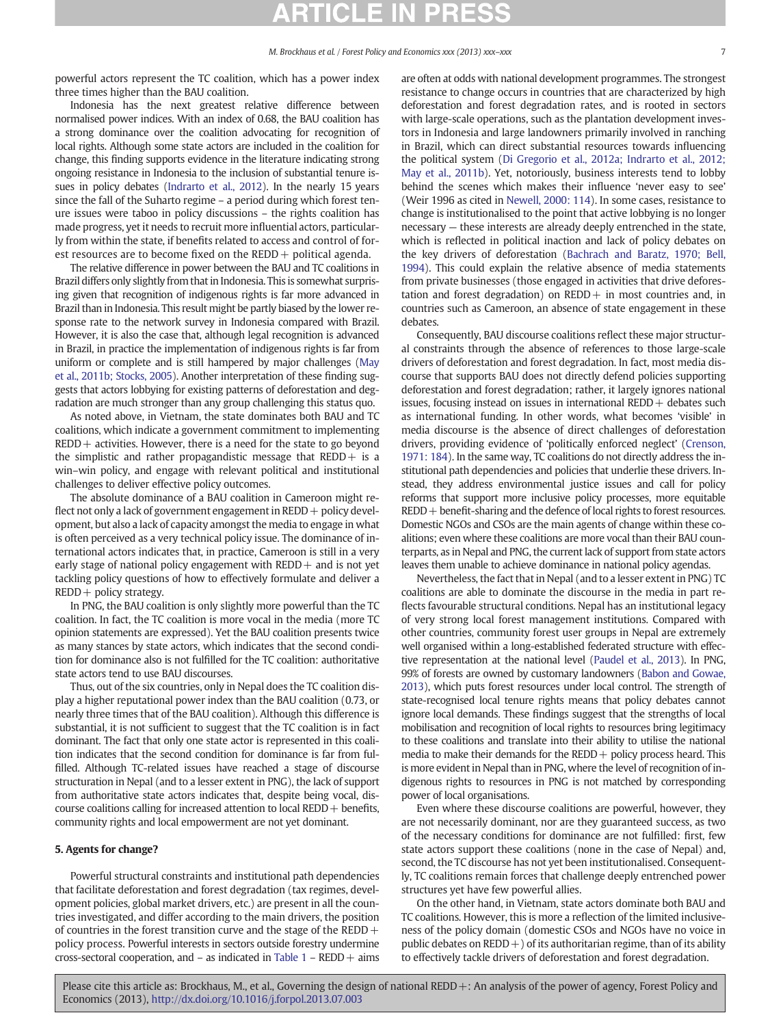powerful actors represent the TC coalition, which has a power index three times higher than the BAU coalition.

Indonesia has the next greatest relative difference between normalised power indices. With an index of 0.68, the BAU coalition has a strong dominance over the coalition advocating for recognition of local rights. Although some state actors are included in the coalition for change, this finding supports evidence in the literature indicating strong ongoing resistance in Indonesia to the inclusion of substantial tenure issues in policy debates [\(Indrarto et al., 2012\)](#page-9-0). In the nearly 15 years since the fall of the Suharto regime – a period during which forest tenure issues were taboo in policy discussions – the rights coalition has made progress, yet it needs to recruit more influential actors, particularly from within the state, if benefits related to access and control of forest resources are to become fixed on the  $REDD +$  political agenda.

The relative difference in power between the BAU and TC coalitions in Brazil differs only slightly from that in Indonesia. This is somewhat surprising given that recognition of indigenous rights is far more advanced in Brazil than in Indonesia. This result might be partly biased by the lower response rate to the network survey in Indonesia compared with Brazil. However, it is also the case that, although legal recognition is advanced in Brazil, in practice the implementation of indigenous rights is far from uniform or complete and is still hampered by major challenges [\(May](#page-9-0) [et al., 2011b; Stocks, 2005](#page-9-0)). Another interpretation of these finding suggests that actors lobbying for existing patterns of deforestation and degradation are much stronger than any group challenging this status quo.

As noted above, in Vietnam, the state dominates both BAU and TC coalitions, which indicate a government commitment to implementing  $REDD+$  activities. However, there is a need for the state to go beyond the simplistic and rather propagandistic message that  $REDD+$  is a win–win policy, and engage with relevant political and institutional challenges to deliver effective policy outcomes.

The absolute dominance of a BAU coalition in Cameroon might reflect not only a lack of government engagement in  $REDD + policy$  development, but also a lack of capacity amongst the media to engage in what is often perceived as a very technical policy issue. The dominance of international actors indicates that, in practice, Cameroon is still in a very early stage of national policy engagement with  $REDD+$  and is not yet tackling policy questions of how to effectively formulate and deliver a  $REDD +$  policy strategy.

In PNG, the BAU coalition is only slightly more powerful than the TC coalition. In fact, the TC coalition is more vocal in the media (more TC opinion statements are expressed). Yet the BAU coalition presents twice as many stances by state actors, which indicates that the second condition for dominance also is not fulfilled for the TC coalition: authoritative state actors tend to use BAU discourses.

Thus, out of the six countries, only in Nepal does the TC coalition display a higher reputational power index than the BAU coalition (0.73, or nearly three times that of the BAU coalition). Although this difference is substantial, it is not sufficient to suggest that the TC coalition is in fact dominant. The fact that only one state actor is represented in this coalition indicates that the second condition for dominance is far from fulfilled. Although TC-related issues have reached a stage of discourse structuration in Nepal (and to a lesser extent in PNG), the lack of support from authoritative state actors indicates that, despite being vocal, discourse coalitions calling for increased attention to local  $REDD + \text{benefits}$ , community rights and local empowerment are not yet dominant.

### 5. Agents for change?

Powerful structural constraints and institutional path dependencies that facilitate deforestation and forest degradation (tax regimes, development policies, global market drivers, etc.) are present in all the countries investigated, and differ according to the main drivers, the position of countries in the forest transition curve and the stage of the REDD  $+$ policy process. Powerful interests in sectors outside forestry undermine cross-sectoral cooperation, and  $-$  as indicated in [Table 1](#page-4-0)  $-$  REDD  $+$  aims are often at odds with national development programmes. The strongest resistance to change occurs in countries that are characterized by high deforestation and forest degradation rates, and is rooted in sectors with large-scale operations, such as the plantation development investors in Indonesia and large landowners primarily involved in ranching in Brazil, which can direct substantial resources towards influencing the political system [\(Di Gregorio et al., 2012a; Indrarto et al., 2012;](#page-9-0) [May et al., 2011b](#page-9-0)). Yet, notoriously, business interests tend to lobby behind the scenes which makes their influence 'never easy to see' (Weir 1996 as cited in [Newell, 2000: 114\)](#page-9-0). In some cases, resistance to change is institutionalised to the point that active lobbying is no longer necessary — these interests are already deeply entrenched in the state, which is reflected in political inaction and lack of policy debates on the key drivers of deforestation ([Bachrach and Baratz, 1970; Bell,](#page-8-0) [1994](#page-8-0)). This could explain the relative absence of media statements from private businesses (those engaged in activities that drive deforestation and forest degradation) on  $REDD+$  in most countries and, in countries such as Cameroon, an absence of state engagement in these debates.

Consequently, BAU discourse coalitions reflect these major structural constraints through the absence of references to those large-scale drivers of deforestation and forest degradation. In fact, most media discourse that supports BAU does not directly defend policies supporting deforestation and forest degradation; rather, it largely ignores national issues, focusing instead on issues in international  $REDD +$  debates such as international funding. In other words, what becomes 'visible' in media discourse is the absence of direct challenges of deforestation drivers, providing evidence of 'politically enforced neglect' ([Crenson,](#page-9-0) [1971: 184](#page-9-0)). In the same way, TC coalitions do not directly address the institutional path dependencies and policies that underlie these drivers. Instead, they address environmental justice issues and call for policy reforms that support more inclusive policy processes, more equitable REDD+ benefit-sharing and the defence of local rights to forest resources. Domestic NGOs and CSOs are the main agents of change within these coalitions; even where these coalitions are more vocal than their BAU counterparts, as in Nepal and PNG, the current lack of support from state actors leaves them unable to achieve dominance in national policy agendas.

Nevertheless, the fact that in Nepal (and to a lesser extent in PNG) TC coalitions are able to dominate the discourse in the media in part reflects favourable structural conditions. Nepal has an institutional legacy of very strong local forest management institutions. Compared with other countries, community forest user groups in Nepal are extremely well organised within a long-established federated structure with effective representation at the national level [\(Paudel et al., 2013](#page-9-0)). In PNG, 99% of forests are owned by customary landowners [\(Babon and Gowae,](#page-8-0) [2013\)](#page-8-0), which puts forest resources under local control. The strength of state-recognised local tenure rights means that policy debates cannot ignore local demands. These findings suggest that the strengths of local mobilisation and recognition of local rights to resources bring legitimacy to these coalitions and translate into their ability to utilise the national media to make their demands for the  $REDD +$  policy process heard. This is more evident in Nepal than in PNG, where the level of recognition of indigenous rights to resources in PNG is not matched by corresponding power of local organisations.

Even where these discourse coalitions are powerful, however, they are not necessarily dominant, nor are they guaranteed success, as two of the necessary conditions for dominance are not fulfilled: first, few state actors support these coalitions (none in the case of Nepal) and, second, the TC discourse has not yet been institutionalised. Consequently, TC coalitions remain forces that challenge deeply entrenched power structures yet have few powerful allies.

On the other hand, in Vietnam, state actors dominate both BAU and TC coalitions. However, this is more a reflection of the limited inclusiveness of the policy domain (domestic CSOs and NGOs have no voice in public debates on  $REDD+$ ) of its authoritarian regime, than of its ability to effectively tackle drivers of deforestation and forest degradation.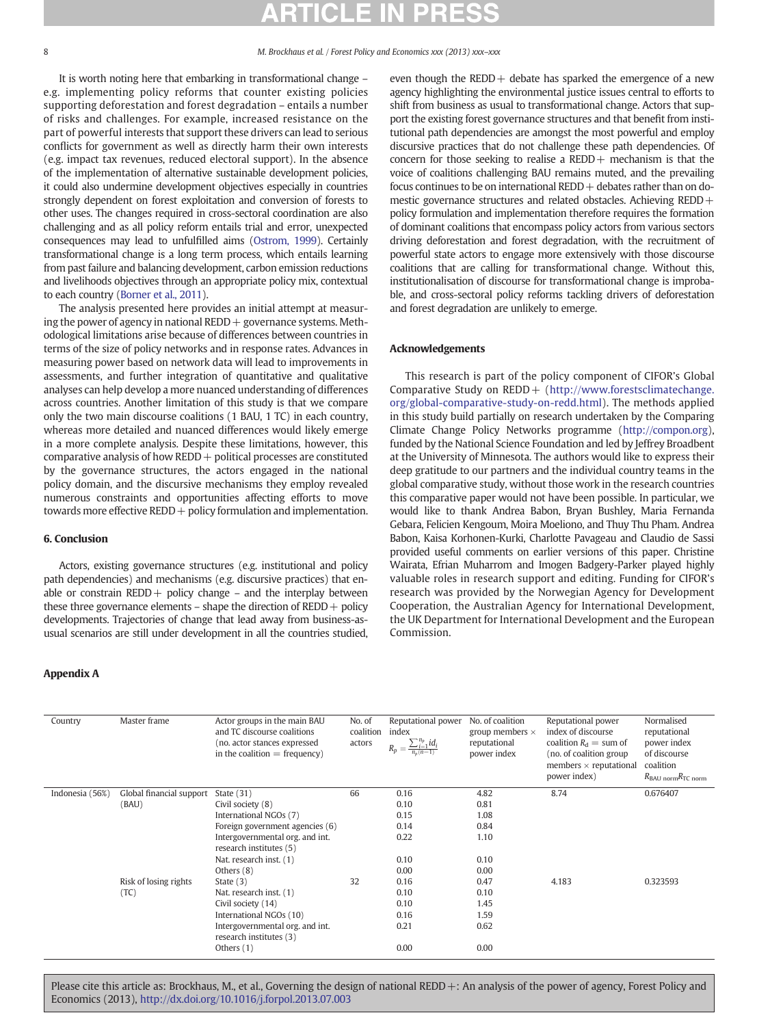It is worth noting here that embarking in transformational change – e.g. implementing policy reforms that counter existing policies supporting deforestation and forest degradation – entails a number of risks and challenges. For example, increased resistance on the part of powerful interests that support these drivers can lead to serious conflicts for government as well as directly harm their own interests (e.g. impact tax revenues, reduced electoral support). In the absence of the implementation of alternative sustainable development policies, it could also undermine development objectives especially in countries strongly dependent on forest exploitation and conversion of forests to other uses. The changes required in cross-sectoral coordination are also challenging and as all policy reform entails trial and error, unexpected consequences may lead to unfulfilled aims [\(Ostrom, 1999\)](#page-9-0). Certainly transformational change is a long term process, which entails learning from past failure and balancing development, carbon emission reductions and livelihoods objectives through an appropriate policy mix, contextual to each country [\(Borner et al., 2011](#page-9-0)).

The analysis presented here provides an initial attempt at measuring the power of agency in national REDD  $+$  governance systems. Methodological limitations arise because of differences between countries in terms of the size of policy networks and in response rates. Advances in measuring power based on network data will lead to improvements in assessments, and further integration of quantitative and qualitative analyses can help develop a more nuanced understanding of differences across countries. Another limitation of this study is that we compare only the two main discourse coalitions (1 BAU, 1 TC) in each country, whereas more detailed and nuanced differences would likely emerge in a more complete analysis. Despite these limitations, however, this comparative analysis of how REDD+ political processes are constituted by the governance structures, the actors engaged in the national policy domain, and the discursive mechanisms they employ revealed numerous constraints and opportunities affecting efforts to move towards more effective REDD+ policy formulation and implementation.

### 6. Conclusion

Actors, existing governance structures (e.g. institutional and policy path dependencies) and mechanisms (e.g. discursive practices) that enable or constrain  $REDD+$  policy change – and the interplay between these three governance elements  $-$  shape the direction of REDD  $+$  policy developments. Trajectories of change that lead away from business-asusual scenarios are still under development in all the countries studied,

### Appendix A

even though the  $REDD+$  debate has sparked the emergence of a new agency highlighting the environmental justice issues central to efforts to shift from business as usual to transformational change. Actors that support the existing forest governance structures and that benefit from institutional path dependencies are amongst the most powerful and employ discursive practices that do not challenge these path dependencies. Of concern for those seeking to realise a  $REDD+$  mechanism is that the voice of coalitions challenging BAU remains muted, and the prevailing focus continues to be on international  $REDD +$  debates rather than on domestic governance structures and related obstacles. Achieving REDD+ policy formulation and implementation therefore requires the formation of dominant coalitions that encompass policy actors from various sectors driving deforestation and forest degradation, with the recruitment of powerful state actors to engage more extensively with those discourse coalitions that are calling for transformational change. Without this, institutionalisation of discourse for transformational change is improbable, and cross-sectoral policy reforms tackling drivers of deforestation and forest degradation are unlikely to emerge.

#### Acknowledgements

This research is part of the policy component of CIFOR's Global Comparative Study on REDD+ [\(http://www.forestsclimatechange.](http://www.forestsclimatechange.org/global-comparative-study-on-redd.html) [org/global-comparative-study-on-redd.html\)](http://www.forestsclimatechange.org/global-comparative-study-on-redd.html). The methods applied in this study build partially on research undertaken by the Comparing Climate Change Policy Networks programme ([http://compon.org\)](http://compon.org), funded by the National Science Foundation and led by Jeffrey Broadbent at the University of Minnesota. The authors would like to express their deep gratitude to our partners and the individual country teams in the global comparative study, without those work in the research countries this comparative paper would not have been possible. In particular, we would like to thank Andrea Babon, Bryan Bushley, Maria Fernanda Gebara, Felicien Kengoum, Moira Moeliono, and Thuy Thu Pham. Andrea Babon, Kaisa Korhonen-Kurki, Charlotte Pavageau and Claudio de Sassi provided useful comments on earlier versions of this paper. Christine Wairata, Efrian Muharrom and Imogen Badgery-Parker played highly valuable roles in research support and editing. Funding for CIFOR's research was provided by the Norwegian Agency for Development Cooperation, the Australian Agency for International Development, the UK Department for International Development and the European Commission.

| Country         | Master frame             | Actor groups in the main BAU<br>and TC discourse coalitions<br>(no. actor stances expressed<br>in the coalition $=$ frequency) | No. of<br>coalition<br>actors | Reputational power<br>index<br>$\frac{\sum_{i=1}^{n_p} id_i}{n_n(n-1)}$<br>$R_p =$ | No. of coalition<br>group members $\times$<br>reputational<br>power index | Reputational power<br>index of discourse<br>coalition $R_{d} =$ sum of<br>(no. of coalition group)<br>members $\times$ reputational<br>power index) | Normalised<br>reputational<br>power index<br>of discourse<br>coalition<br>$R_{\text{BAU norm}} R_{\text{TC norm}}$ |
|-----------------|--------------------------|--------------------------------------------------------------------------------------------------------------------------------|-------------------------------|------------------------------------------------------------------------------------|---------------------------------------------------------------------------|-----------------------------------------------------------------------------------------------------------------------------------------------------|--------------------------------------------------------------------------------------------------------------------|
| Indonesia (56%) | Global financial support | State $(31)$                                                                                                                   | 66                            | 0.16                                                                               | 4.82                                                                      | 8.74                                                                                                                                                | 0.676407                                                                                                           |
|                 | (BAU)                    | Civil society (8)                                                                                                              |                               | 0.10                                                                               | 0.81                                                                      |                                                                                                                                                     |                                                                                                                    |
|                 |                          | International NGOs (7)                                                                                                         |                               | 0.15                                                                               | 1.08                                                                      |                                                                                                                                                     |                                                                                                                    |
|                 |                          | Foreign government agencies (6)                                                                                                |                               | 0.14                                                                               | 0.84                                                                      |                                                                                                                                                     |                                                                                                                    |
|                 |                          | Intergovernmental org. and int.<br>research institutes (5)                                                                     |                               | 0.22                                                                               | 1.10                                                                      |                                                                                                                                                     |                                                                                                                    |
|                 |                          | Nat. research inst. (1)                                                                                                        |                               | 0.10                                                                               | 0.10                                                                      |                                                                                                                                                     |                                                                                                                    |
|                 |                          | Others $(8)$                                                                                                                   |                               | 0.00                                                                               | 0.00                                                                      |                                                                                                                                                     |                                                                                                                    |
|                 | Risk of losing rights    | State $(3)$                                                                                                                    | 32                            | 0.16                                                                               | 0.47                                                                      | 4.183                                                                                                                                               | 0.323593                                                                                                           |
|                 | (TC)                     | Nat. research inst. (1)                                                                                                        |                               | 0.10                                                                               | 0.10                                                                      |                                                                                                                                                     |                                                                                                                    |
|                 |                          | Civil society (14)                                                                                                             |                               | 0.10                                                                               | 1.45                                                                      |                                                                                                                                                     |                                                                                                                    |
|                 |                          | International NGOs (10)                                                                                                        |                               | 0.16                                                                               | 1.59                                                                      |                                                                                                                                                     |                                                                                                                    |
|                 |                          | Intergovernmental org, and int.<br>research institutes (3)                                                                     |                               | 0.21                                                                               | 0.62                                                                      |                                                                                                                                                     |                                                                                                                    |
|                 |                          | Others $(1)$                                                                                                                   |                               | 0.00                                                                               | 0.00                                                                      |                                                                                                                                                     |                                                                                                                    |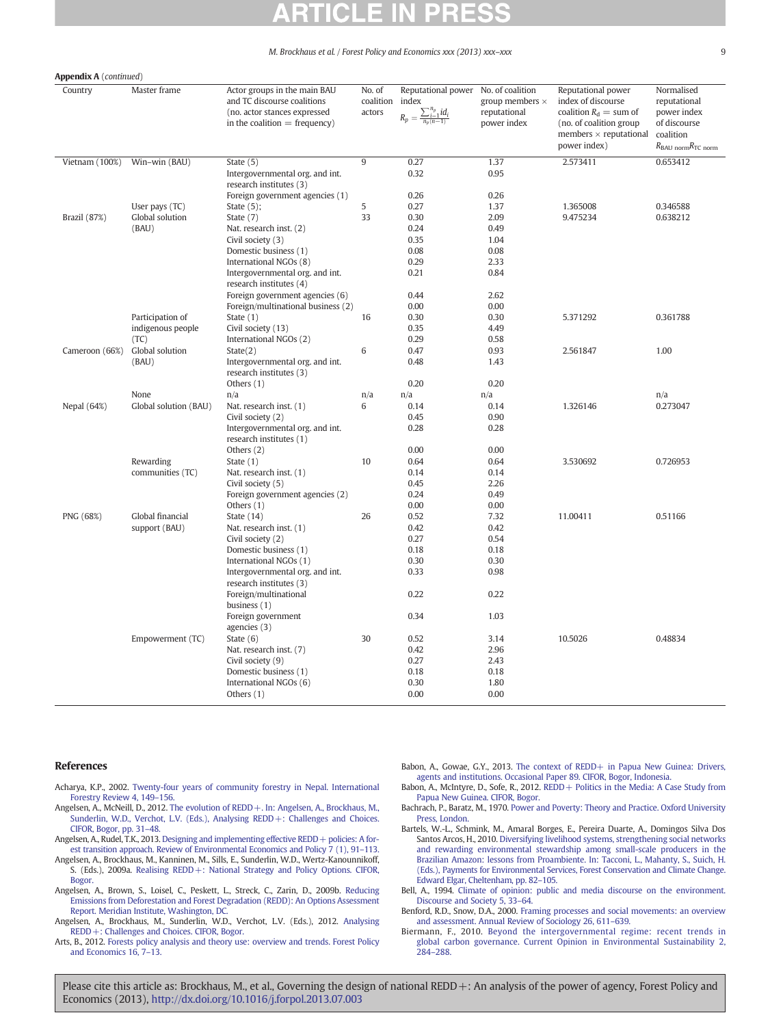<span id="page-8-0"></span>

| <b>Appendix A</b> (continued)<br>Country | Master frame                               | Actor groups in the main BAU<br>and TC discourse coalitions<br>(no. actor stances expressed<br>in the coalition $=$ frequency) | No. of<br>coalition<br>actors | Reputational power<br>index<br>$R_p = \frac{\sum_{i=1}^{n_p} id_i}{\frac{n_p(n-1)}{n_p}}$ | No. of coalition<br>group members $\times$<br>reputational<br>power index | Reputational power<br>index of discourse<br>coalition $R_d$ = sum of<br>(no. of coalition group<br>members $\times$ reputational | Normalised<br>reputational<br>power index<br>of discourse<br>coalition |
|------------------------------------------|--------------------------------------------|--------------------------------------------------------------------------------------------------------------------------------|-------------------------------|-------------------------------------------------------------------------------------------|---------------------------------------------------------------------------|----------------------------------------------------------------------------------------------------------------------------------|------------------------------------------------------------------------|
|                                          |                                            |                                                                                                                                |                               |                                                                                           |                                                                           | power index)                                                                                                                     | $R_{BAU}$ norm $R_{TC}$ norm                                           |
| Vietnam (100%)                           | Win-win (BAU)                              | State $(5)$<br>Intergovernmental org. and int.<br>research institutes (3)                                                      | $\overline{9}$                | 0.27<br>0.32                                                                              | 1.37<br>0.95                                                              | 2.573411                                                                                                                         | 0.653412                                                               |
|                                          |                                            | Foreign government agencies (1)                                                                                                | 5                             | 0.26<br>0.27                                                                              | 0.26<br>1.37                                                              |                                                                                                                                  | 0.346588                                                               |
| <b>Brazil</b> (87%)                      | User pays (TC)<br>Global solution<br>(BAU) | State $(5)$ ;<br>State (7)<br>Nat. research inst. (2)                                                                          | 33                            | 0.30<br>0.24                                                                              | 2.09<br>0.49                                                              | 1.365008<br>9.475234                                                                                                             | 0.638212                                                               |
|                                          |                                            | Civil society (3)<br>Domestic business (1)                                                                                     |                               | 0.35<br>0.08                                                                              | 1.04<br>0.08                                                              |                                                                                                                                  |                                                                        |
|                                          |                                            | International NGOs (8)                                                                                                         |                               | 0.29                                                                                      | 2.33                                                                      |                                                                                                                                  |                                                                        |
|                                          |                                            | Intergovernmental org. and int.<br>research institutes (4)                                                                     |                               | 0.21                                                                                      | 0.84                                                                      |                                                                                                                                  |                                                                        |
|                                          |                                            | Foreign government agencies (6)                                                                                                |                               | 0.44                                                                                      | 2.62                                                                      |                                                                                                                                  |                                                                        |
|                                          |                                            | Foreign/multinational business (2)                                                                                             |                               | 0.00                                                                                      | 0.00                                                                      |                                                                                                                                  |                                                                        |
|                                          | Participation of                           | State $(1)$                                                                                                                    | 16                            | 0.30                                                                                      | 0.30                                                                      | 5.371292                                                                                                                         | 0.361788                                                               |
|                                          | indigenous people                          | Civil society (13)                                                                                                             |                               | 0.35                                                                                      | 4.49                                                                      |                                                                                                                                  |                                                                        |
|                                          | (TC)                                       | International NGOs (2)                                                                                                         |                               | 0.29                                                                                      | 0.58                                                                      |                                                                                                                                  |                                                                        |
| Cameroon (66%)                           | Global solution                            | State(2)                                                                                                                       | $\,6\,$                       | 0.47                                                                                      | 0.93                                                                      | 2.561847                                                                                                                         | 1.00                                                                   |
|                                          | (BAU)                                      | Intergovernmental org. and int.                                                                                                |                               | 0.48                                                                                      | 1.43                                                                      |                                                                                                                                  |                                                                        |
|                                          |                                            | research institutes (3)<br>Others $(1)$                                                                                        |                               | 0.20                                                                                      | 0.20                                                                      |                                                                                                                                  |                                                                        |
|                                          | None                                       | n/a                                                                                                                            | n/a                           | n/a                                                                                       | n/a                                                                       |                                                                                                                                  | n/a                                                                    |
| Nepal (64%)                              | Global solution (BAU)                      | Nat. research inst. (1)                                                                                                        | 6                             | 0.14                                                                                      | 0.14                                                                      | 1.326146                                                                                                                         | 0.273047                                                               |
|                                          |                                            | Civil society (2)                                                                                                              |                               | 0.45                                                                                      | 0.90                                                                      |                                                                                                                                  |                                                                        |
|                                          |                                            | Intergovernmental org. and int.<br>research institutes (1)                                                                     |                               | 0.28                                                                                      | 0.28                                                                      |                                                                                                                                  |                                                                        |
|                                          |                                            | Others $(2)$                                                                                                                   |                               | 0.00                                                                                      | 0.00                                                                      |                                                                                                                                  |                                                                        |
|                                          | Rewarding                                  | State $(1)$                                                                                                                    | 10                            | 0.64                                                                                      | 0.64                                                                      | 3.530692                                                                                                                         | 0.726953                                                               |
|                                          | communities (TC)                           | Nat. research inst. (1)                                                                                                        |                               | 0.14                                                                                      | 0.14                                                                      |                                                                                                                                  |                                                                        |
|                                          |                                            | Civil society (5)                                                                                                              |                               | 0.45                                                                                      | 2.26                                                                      |                                                                                                                                  |                                                                        |
|                                          |                                            | Foreign government agencies (2)                                                                                                |                               | 0.24                                                                                      | 0.49                                                                      |                                                                                                                                  |                                                                        |
|                                          |                                            | Others (1)                                                                                                                     |                               | 0.00                                                                                      | 0.00                                                                      |                                                                                                                                  |                                                                        |
| PNG (68%)                                | Global financial                           | State $(14)$                                                                                                                   | 26                            | 0.52<br>0.42                                                                              | 7.32<br>0.42                                                              | 11.00411                                                                                                                         | 0.51166                                                                |
|                                          | support (BAU)                              | Nat. research inst. (1)<br>Civil society (2)                                                                                   |                               | 0.27                                                                                      | 0.54                                                                      |                                                                                                                                  |                                                                        |
|                                          |                                            | Domestic business (1)                                                                                                          |                               | 0.18                                                                                      | 0.18                                                                      |                                                                                                                                  |                                                                        |
|                                          |                                            | International NGOs (1)                                                                                                         |                               | 0.30                                                                                      | 0.30                                                                      |                                                                                                                                  |                                                                        |
|                                          |                                            | Intergovernmental org. and int.<br>research institutes (3)                                                                     |                               | 0.33                                                                                      | 0.98                                                                      |                                                                                                                                  |                                                                        |
|                                          |                                            | Foreign/multinational<br>business $(1)$                                                                                        |                               | 0.22                                                                                      | 0.22                                                                      |                                                                                                                                  |                                                                        |
|                                          |                                            | Foreign government<br>agencies $(3)$                                                                                           |                               | 0.34                                                                                      | 1.03                                                                      |                                                                                                                                  |                                                                        |
|                                          | Empowerment (TC)                           | State $(6)$                                                                                                                    | 30                            | 0.52                                                                                      | 3.14                                                                      | 10.5026                                                                                                                          | 0.48834                                                                |
|                                          |                                            | Nat. research inst. (7)                                                                                                        |                               | 0.42                                                                                      | 2.96                                                                      |                                                                                                                                  |                                                                        |
|                                          |                                            | Civil society (9)                                                                                                              |                               | 0.27                                                                                      | 2.43                                                                      |                                                                                                                                  |                                                                        |
|                                          |                                            | Domestic business (1)                                                                                                          |                               | 0.18                                                                                      | 0.18                                                                      |                                                                                                                                  |                                                                        |
|                                          |                                            | International NGOs (6)                                                                                                         |                               | 0.30                                                                                      | 1.80                                                                      |                                                                                                                                  |                                                                        |
|                                          |                                            | Others $(1)$                                                                                                                   |                               | 0.00                                                                                      | 0.00                                                                      |                                                                                                                                  |                                                                        |

### References

(continued)

Acharya, K.P., 2002. [Twenty-four years of community forestry in Nepal. International](http://refhub.elsevier.com/S1389-9341(13)00148-2/rf0005) [Forestry Review 4, 149](http://refhub.elsevier.com/S1389-9341(13)00148-2/rf0005)–156.

Angelsen, A., McNeill, D., 2012. [The evolution of REDD+. In: Angelsen, A., Brockhaus, M.,](http://refhub.elsevier.com/S1389-9341(13)00148-2/rf0025) Sunderlin, W.D., Verchot, L.V. (Eds.), Analysing REDD +: Challenges and Choices. [CIFOR, Bogor, pp. 31](http://refhub.elsevier.com/S1389-9341(13)00148-2/rf0025)–48.

Angelsen, A., Rudel, T.K., 2013. Designing and implementing effective REDD + policies: A for[est transition approach. Review of Environmental Economics and Policy 7 \(1\), 91](http://refhub.elsevier.com/S1389-9341(13)00148-2/rf0010)–113.

Angelsen, A., Brockhaus, M., Kanninen, M., Sills, E., Sunderlin, W.D., Wertz-Kanounnikoff, S. (Eds.), 2009a. [Realising REDD+: National Strategy and Policy Options. CIFOR,](http://refhub.elsevier.com/S1389-9341(13)00148-2/rf0015) [Bogor](http://refhub.elsevier.com/S1389-9341(13)00148-2/rf0015).

- Angelsen, A., Brown, S., Loisel, C., Peskett, L., Streck, C., Zarin, D., 2009b. [Reducing](http://refhub.elsevier.com/S1389-9341(13)00148-2/rf0030) [Emissions from Deforestation and Forest Degradation \(REDD\): An Options Assessment](http://refhub.elsevier.com/S1389-9341(13)00148-2/rf0030) [Report. Meridian Institute, Washington, DC](http://refhub.elsevier.com/S1389-9341(13)00148-2/rf0030).
- Angelsen, A., Brockhaus, M., Sunderlin, W.D., Verchot, L.V. (Eds.), 2012. [Analysing](http://refhub.elsevier.com/S1389-9341(13)00148-2/rf0020) [REDD+: Challenges and Choices. CIFOR, Bogor](http://refhub.elsevier.com/S1389-9341(13)00148-2/rf0020).
- Arts, B., 2012. [Forests policy analysis and theory use: overview and trends. Forest Policy](http://refhub.elsevier.com/S1389-9341(13)00148-2/rf0035) [and Economics 16, 7](http://refhub.elsevier.com/S1389-9341(13)00148-2/rf0035)–13.

Babon, A., Gowae, G.Y., 2013. [The context of REDD+ in Papua New Guinea: Drivers,](http://refhub.elsevier.com/S1389-9341(13)00148-2/rf0355) [agents and institutions. Occasional Paper 89. CIFOR, Bogor, Indonesia](http://refhub.elsevier.com/S1389-9341(13)00148-2/rf0355). Babon, A., McIntyre, D., Sofe, R., 2012. [REDD+ Politics in the Media: A Case Study from](http://refhub.elsevier.com/S1389-9341(13)00148-2/rf0040)

[Papua New Guinea. CIFOR, Bogor](http://refhub.elsevier.com/S1389-9341(13)00148-2/rf0040). Bachrach, P., Baratz, M., 1970. [Power and Poverty: Theory and Practice. Oxford University](http://refhub.elsevier.com/S1389-9341(13)00148-2/rf0045)

- [Press, London.](http://refhub.elsevier.com/S1389-9341(13)00148-2/rf0045)
- Bartels, W.-L., Schmink, M., Amaral Borges, E., Pereira Duarte, A., Domingos Silva Dos Santos Arcos, H., 2010. [Diversifying livelihood systems, strengthening social networks](http://refhub.elsevier.com/S1389-9341(13)00148-2/rf0050) [and rewarding environmental stewardship among small-scale producers in the](http://refhub.elsevier.com/S1389-9341(13)00148-2/rf0050) [Brazilian Amazon: lessons from Proambiente. In: Tacconi, L., Mahanty, S., Suich, H.](http://refhub.elsevier.com/S1389-9341(13)00148-2/rf0050) [\(Eds.\), Payments for Environmental Services, Forest Conservation and Climate Change.](http://refhub.elsevier.com/S1389-9341(13)00148-2/rf0050) [Edward Elgar, Cheltenham, pp. 82](http://refhub.elsevier.com/S1389-9341(13)00148-2/rf0050)–105.
- Bell, A., 1994. [Climate of opinion: public and media discourse on the environment.](http://refhub.elsevier.com/S1389-9341(13)00148-2/rf0055) [Discourse and Society 5, 33](http://refhub.elsevier.com/S1389-9341(13)00148-2/rf0055)–64.
- Benford, R.D., Snow, D.A., 2000. [Framing processes and social movements: an overview](http://refhub.elsevier.com/S1389-9341(13)00148-2/rf0060) [and assessment. Annual Review of Sociology 26, 611](http://refhub.elsevier.com/S1389-9341(13)00148-2/rf0060)–639.
- Biermann, F., 2010. [Beyond the intergovernmental regime: recent trends in](http://refhub.elsevier.com/S1389-9341(13)00148-2/rf0070) [global carbon governance. Current Opinion in Environmental Sustainability 2,](http://refhub.elsevier.com/S1389-9341(13)00148-2/rf0070) 284–[288.](http://refhub.elsevier.com/S1389-9341(13)00148-2/rf0070)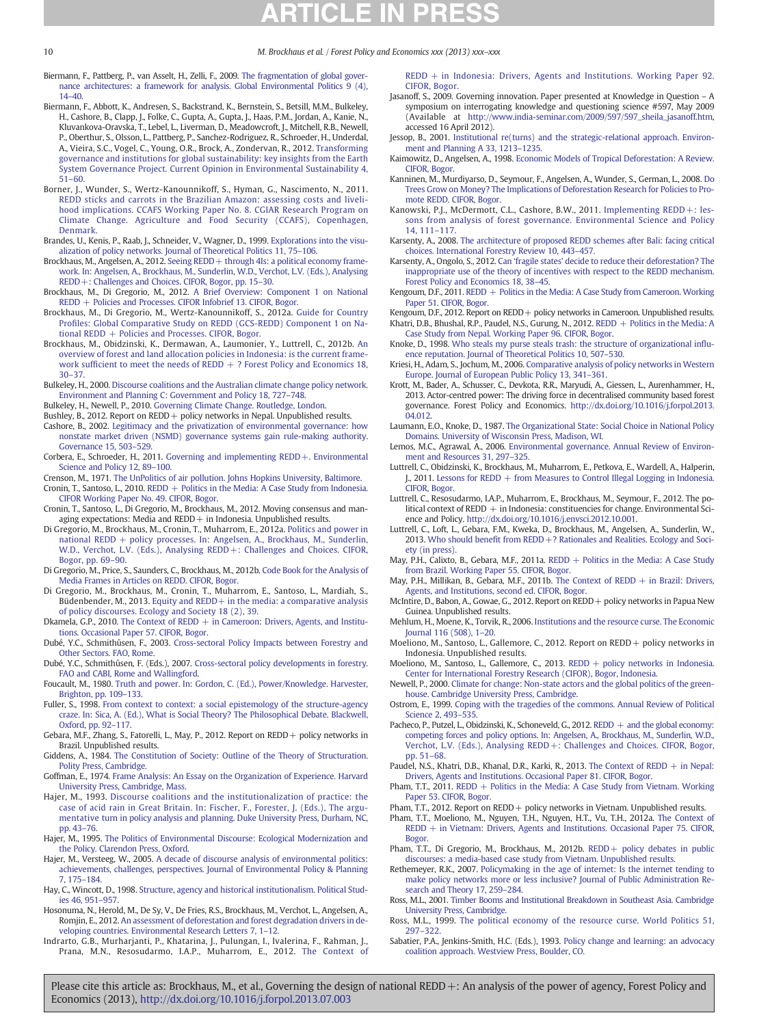## P

### <span id="page-9-0"></span>10 M. Brockhaus et al. / Forest Policy and Economics xxx (2013) xxx–xxx

Biermann, F., Pattberg, P., van Asselt, H., Zelli, F., 2009. [The fragmentation of global gover](http://refhub.elsevier.com/S1389-9341(13)00148-2/rf0065)[nance architectures: a framework for analysis. Global Environmental Politics 9 \(4\),](http://refhub.elsevier.com/S1389-9341(13)00148-2/rf0065) 14–[40.](http://refhub.elsevier.com/S1389-9341(13)00148-2/rf0065)

- Biermann, F., Abbott, K., Andresen, S., Backstrand, K., Bernstein, S., Betsill, M.M., Bulkeley, H., Cashore, B., Clapp, J., Folke, C., Gupta, A., Gupta, J., Haas, P.M., Jordan, A., Kanie, N.,<br>Kluvankova-Oravska, T., Lebel, L., Liverman, D., Meadowcroft, J., Mitchell, R.B., Newell, P., Oberthur, S., Olsson, L., Pattberg, P., Sanchez-Rodriguez, R., Schroeder, H., Underdal, A., Vieira, S.C., Vogel, C., Young, O.R., Brock, A., Zondervan, R., 2012. [Transforming](http://refhub.elsevier.com/S1389-9341(13)00148-2/rf0075) [governance and institutions for global sustainability: key insights from the Earth](http://refhub.elsevier.com/S1389-9341(13)00148-2/rf0075) [System Governance Project. Current Opinion in Environmental Sustainability 4,](http://refhub.elsevier.com/S1389-9341(13)00148-2/rf0075) [51](http://refhub.elsevier.com/S1389-9341(13)00148-2/rf0075)–60.
- Borner, J., Wunder, S., Wertz-Kanounnikoff, S., Hyman, G., Nascimento, N., 2011. [REDD sticks and carrots in the Brazilian Amazon: assessing costs and liveli](http://refhub.elsevier.com/S1389-9341(13)00148-2/rf0080)[hood implications. CCAFS Working Paper No. 8. CGIAR Research Program on](http://refhub.elsevier.com/S1389-9341(13)00148-2/rf0080) [Climate Change. Agriculture and Food Security \(CCAFS\), Copenhagen,](http://refhub.elsevier.com/S1389-9341(13)00148-2/rf0080) [Denmark.](http://refhub.elsevier.com/S1389-9341(13)00148-2/rf0080)
- Brandes, U., Kenis, P., Raab, J., Schneider, V., Wagner, D., 1999. [Explorations into the visu-](http://refhub.elsevier.com/S1389-9341(13)00148-2/rf0085)[alization of policy networks. Journal of Theoretical Politics 11, 75](http://refhub.elsevier.com/S1389-9341(13)00148-2/rf0085)–106.
- Brockhaus, M., Angelsen, A., 2012. [Seeing REDD+ through 4Is: a political economy frame](http://refhub.elsevier.com/S1389-9341(13)00148-2/rf0090)[work. In: Angelsen, A., Brockhaus, M., Sunderlin, W.D., Verchot, L.V. \(Eds.\), Analysing](http://refhub.elsevier.com/S1389-9341(13)00148-2/rf0090) [REDD+: Challenges and Choices. CIFOR, Bogor, pp. 15](http://refhub.elsevier.com/S1389-9341(13)00148-2/rf0090)–30.
- Brockhaus, M., Di Gregorio, M., 2012. [A Brief Overview: Component 1 on National](http://refhub.elsevier.com/S1389-9341(13)00148-2/rf0360) [REDD + Policies and Processes. CIFOR Infobrief 13. CIFOR, Bogor](http://refhub.elsevier.com/S1389-9341(13)00148-2/rf0360).
- Brockhaus, M., Di Gregorio, M., Wertz-Kanounnikoff, S., 2012a. [Guide for Country](http://refhub.elsevier.com/S1389-9341(13)00148-2/rf0095) Profi[les: Global Comparative Study on REDD \(GCS-REDD\) Component 1 on Na](http://refhub.elsevier.com/S1389-9341(13)00148-2/rf0095)[tional REDD + Policies and Processes. CIFOR, Bogor.](http://refhub.elsevier.com/S1389-9341(13)00148-2/rf0095)
- Brockhaus, M., Obidzinski, K., Dermawan, A., Laumonier, Y., Luttrell, C., 2012b. [An](http://refhub.elsevier.com/S1389-9341(13)00148-2/rf0100) [overview of forest and land allocation policies in Indonesia: is the current frame](http://refhub.elsevier.com/S1389-9341(13)00148-2/rf0100)work sufficient to meet the needs of REDD  $+$  ? Forest Policy and Economics 18, [30](http://refhub.elsevier.com/S1389-9341(13)00148-2/rf0100)–37.
- Bulkeley, H., 2000. [Discourse coalitions and the Australian climate change policy network.](http://refhub.elsevier.com/S1389-9341(13)00148-2/rf0105) [Environment and Planning C: Government and Policy 18, 727](http://refhub.elsevier.com/S1389-9341(13)00148-2/rf0105)–748.
- Bulkeley, H., Newell, P., 2010. [Governing Climate Change. Routledge, London](http://refhub.elsevier.com/S1389-9341(13)00148-2/rf0110).
- Bushley, B., 2012. Report on REDD+ policy networks in Nepal. Unpublished results.
- Cashore, B., 2002. [Legitimacy and the privatization of environmental governance: how](http://refhub.elsevier.com/S1389-9341(13)00148-2/rf0120) [nonstate market driven \(NSMD\) governance systems gain rule-making authority.](http://refhub.elsevier.com/S1389-9341(13)00148-2/rf0120) [Governance 15, 503](http://refhub.elsevier.com/S1389-9341(13)00148-2/rf0120)–529.
- Corbera, E., Schroeder, H., 2011. [Governing and implementing REDD+. Environmental](http://refhub.elsevier.com/S1389-9341(13)00148-2/rf0125) [Science and Policy 12, 89](http://refhub.elsevier.com/S1389-9341(13)00148-2/rf0125)–100.
- Crenson, M., 1971. [The UnPolitics of air pollution. Johns Hopkins University, Baltimore.](http://refhub.elsevier.com/S1389-9341(13)00148-2/rf0130)
- Cronin, T., Santoso, L., 2010. [REDD + Politics in the Media: A Case Study from Indonesia.](http://refhub.elsevier.com/S1389-9341(13)00148-2/rf0365) [CIFOR Working Paper No. 49. CIFOR, Bogor](http://refhub.elsevier.com/S1389-9341(13)00148-2/rf0365).
- Cronin, T., Santoso, L., Di Gregorio, M., Brockhaus, M., 2012. Moving consensus and managing expectations: Media and  $REDD +$  in Indonesia. Unpublished results.
- Di Gregorio, M., Brockhaus, M., Cronin, T., Muharrom, E., 2012a. [Politics and power in](http://refhub.elsevier.com/S1389-9341(13)00148-2/rf0140) [national REDD + policy processes. In: Angelsen, A., Brockhaus, M., Sunderlin,](http://refhub.elsevier.com/S1389-9341(13)00148-2/rf0140) W.D., Verchot, L.V. (Eds.), Analysing REDD +: Challenges and Choices. CIFOR, [Bogor, pp. 69](http://refhub.elsevier.com/S1389-9341(13)00148-2/rf0140)–90.
- Di Gregorio, M., Price, S., Saunders, C., Brockhaus, M., 2012b. [Code Book for the Analysis of](http://refhub.elsevier.com/S1389-9341(13)00148-2/rf0145) [Media Frames in Articles on REDD. CIFOR, Bogor](http://refhub.elsevier.com/S1389-9341(13)00148-2/rf0145).
- Di Gregorio, M., Brockhaus, M., Cronin, T., Muharrom, E., Santoso, L., Mardiah, S., Büdenbender, M., 2013. [Equity and REDD+ in the media: a comparative analysis](http://refhub.elsevier.com/S1389-9341(13)00148-2/rf0370) [of policy discourses. Ecology and Society 18 \(2\), 39.](http://refhub.elsevier.com/S1389-9341(13)00148-2/rf0370)
- Dkamela, G.P., 2010. [The Context of REDD + in Cameroon: Drivers, Agents, and Institu](http://refhub.elsevier.com/S1389-9341(13)00148-2/rf0375)[tions. Occasional Paper 57. CIFOR, Bogor.](http://refhub.elsevier.com/S1389-9341(13)00148-2/rf0375)
- Dubé, Y.C., Schmithűsen, F., 2003. [Cross-sectoral Policy Impacts between Forestry and](http://refhub.elsevier.com/S1389-9341(13)00148-2/rf0150) [Other Sectors. FAO, Rome](http://refhub.elsevier.com/S1389-9341(13)00148-2/rf0150).
- Dubé, Y.C., Schmithűsen, F. (Eds.), 2007. [Cross-sectoral policy developments in forestry.](http://refhub.elsevier.com/S1389-9341(13)00148-2/rf0155) [FAO and CABI, Rome and Wallingford.](http://refhub.elsevier.com/S1389-9341(13)00148-2/rf0155)
- Foucault, M., 1980. [Truth and power. In: Gordon, C. \(Ed.\), Power/Knowledge. Harvester,](http://refhub.elsevier.com/S1389-9341(13)00148-2/rf0160) [Brighton, pp. 109](http://refhub.elsevier.com/S1389-9341(13)00148-2/rf0160)–133.
- Fuller, S., 1998. [From context to context: a social epistemology of the structure-agency](http://refhub.elsevier.com/S1389-9341(13)00148-2/rf0165) [craze. In: Sica, A. \(Ed.\), What is Social Theory? The Philosophical Debate. Blackwell,](http://refhub.elsevier.com/S1389-9341(13)00148-2/rf0165) [Oxford, pp. 92](http://refhub.elsevier.com/S1389-9341(13)00148-2/rf0165)–117.
- Gebara, M.F., Zhang, S., Fatorelli, L., May, P., 2012. Report on REDD + policy networks in Brazil. Unpublished results.
- Giddens, A., 1984. [The Constitution of Society: Outline of the Theory of Structuration.](http://refhub.elsevier.com/S1389-9341(13)00148-2/rf0175) [Polity Press, Cambridge](http://refhub.elsevier.com/S1389-9341(13)00148-2/rf0175).
- Goffman, E., 1974. [Frame Analysis: An Essay on the Organization of Experience. Harvard](http://refhub.elsevier.com/S1389-9341(13)00148-2/rf0180) [University Press, Cambridge, Mass.](http://refhub.elsevier.com/S1389-9341(13)00148-2/rf0180)
- Hajer, M., 1993. [Discourse coalitions and the institutionalization of practice: the](http://refhub.elsevier.com/S1389-9341(13)00148-2/rf0185) [case of acid rain in Great Britain. In: Fischer, F., Forester, J. \(Eds.\), The argu](http://refhub.elsevier.com/S1389-9341(13)00148-2/rf0185)[mentative turn in policy analysis and planning. Duke University Press, Durham, NC,](http://refhub.elsevier.com/S1389-9341(13)00148-2/rf0185) [pp. 43](http://refhub.elsevier.com/S1389-9341(13)00148-2/rf0185)–76.
- Hajer, M., 1995. [The Politics of Environmental Discourse: Ecological Modernization and](http://refhub.elsevier.com/S1389-9341(13)00148-2/rf0190) [the Policy. Clarendon Press, Oxford](http://refhub.elsevier.com/S1389-9341(13)00148-2/rf0190).
- Hajer, M., Versteeg, W., 2005. [A decade of discourse analysis of environmental politics:](http://refhub.elsevier.com/S1389-9341(13)00148-2/rf0195) [achievements, challenges, perspectives. Journal of Environmental Policy & Planning](http://refhub.elsevier.com/S1389-9341(13)00148-2/rf0195) [7, 175](http://refhub.elsevier.com/S1389-9341(13)00148-2/rf0195)–184.
- Hay, C., Wincott, D., 1998. [Structure, agency and historical institutionalism. Political Stud](http://refhub.elsevier.com/S1389-9341(13)00148-2/rf0200)[ies 46, 951](http://refhub.elsevier.com/S1389-9341(13)00148-2/rf0200)–957.
- Hosonuma, N., Herold, M., De Sy, V., De Fries, R.S., Brockhaus, M., Verchot, L., Angelsen, A., Romjin, E., 2012. [An assessment of deforestation and forest degradation drivers in de](http://refhub.elsevier.com/S1389-9341(13)00148-2/rf0205)[veloping countries. Environmental Research Letters 7, 1](http://refhub.elsevier.com/S1389-9341(13)00148-2/rf0205)–12.
- Indrarto, G.B., Murharjanti, P., Khatarina, J., Pulungan, I., Ivalerina, F., Rahman, J., Prana, M.N., Resosudarmo, I.A.P., Muharrom, E., 2012. [The Context of](http://refhub.elsevier.com/S1389-9341(13)00148-2/rf0380)

[REDD + in Indonesia: Drivers, Agents and Institutions. Working Paper 92.](http://refhub.elsevier.com/S1389-9341(13)00148-2/rf0380) [CIFOR, Bogor.](http://refhub.elsevier.com/S1389-9341(13)00148-2/rf0380)

- Jasanoff, S., 2009. Governing innovation. Paper presented at Knowledge in Question A symposium on interrogating knowledge and questioning science #597, May 2009 (Available at [http://www.india-seminar.com/2009/597/597\\_sheila\\_jasanoff.htm](http://www.india-seminar.com/2009/597/597_sheila_jasanoff.htm), accessed 16 April 2012).
- Jessop, B., 2001. [Institutional re\(turns\) and the strategic-relational approach. Environ](http://refhub.elsevier.com/S1389-9341(13)00148-2/rf0210)[ment and Planning A 33, 1213](http://refhub.elsevier.com/S1389-9341(13)00148-2/rf0210)–1235.
- Kaimowitz, D., Angelsen, A., 1998. [Economic Models of Tropical Deforestation: A Review.](http://refhub.elsevier.com/S1389-9341(13)00148-2/rf0215) [CIFOR, Bogor](http://refhub.elsevier.com/S1389-9341(13)00148-2/rf0215).
- Kanninen, M., Murdiyarso, D., Seymour, F., Angelsen, A., Wunder, S., German, L., 2008. [Do](http://refhub.elsevier.com/S1389-9341(13)00148-2/rf0220) [Trees Grow on Money? The Implications of Deforestation Research for Policies to Pro](http://refhub.elsevier.com/S1389-9341(13)00148-2/rf0220)[mote REDD. CIFOR, Bogor](http://refhub.elsevier.com/S1389-9341(13)00148-2/rf0220).
- Kanowski, P.J., McDermott, C.L., Cashore, B.W., 2011. [Implementing REDD+: les](http://refhub.elsevier.com/S1389-9341(13)00148-2/rf0225)[sons from analysis of forest governance. Environmental Science and Policy](http://refhub.elsevier.com/S1389-9341(13)00148-2/rf0225) [14, 111](http://refhub.elsevier.com/S1389-9341(13)00148-2/rf0225)–117.
- Karsenty, A., 2008. [The architecture of proposed REDD schemes after Bali: facing critical](http://refhub.elsevier.com/S1389-9341(13)00148-2/rf0230) [choices. International Forestry Review 10, 443](http://refhub.elsevier.com/S1389-9341(13)00148-2/rf0230)–457.
- Karsenty, A., Ongolo, S., 2012. Can 'fragile states' [decide to reduce their deforestation? The](http://refhub.elsevier.com/S1389-9341(13)00148-2/rf0235) [inappropriate use of the theory of incentives with respect to the REDD mechanism.](http://refhub.elsevier.com/S1389-9341(13)00148-2/rf0235) [Forest Policy and Economics 18, 38](http://refhub.elsevier.com/S1389-9341(13)00148-2/rf0235)–45.
- Kengoum, D.F., 2011. [REDD + Politics in the Media: A Case Study from Cameroon. Working](http://refhub.elsevier.com/S1389-9341(13)00148-2/rf0390) [Paper 51. CIFOR, Bogor.](http://refhub.elsevier.com/S1389-9341(13)00148-2/rf0390)
- Kengoum, D.F., 2012. Report on REDD + policy networks in Cameroon. Unpublished results. Khatri, D.B., Bhushal, R.P., Paudel, N.S., Gurung, N., 2012. [REDD + Politics in the Media: A](http://refhub.elsevier.com/S1389-9341(13)00148-2/rf0395)
- [Case Study from Nepal. Working Paper 96. CIFOR, Bogor](http://refhub.elsevier.com/S1389-9341(13)00148-2/rf0395). Knoke, D., 1998. [Who steals my purse steals trash: the structure of organizational in](http://refhub.elsevier.com/S1389-9341(13)00148-2/rf0245)flu[ence reputation. Journal of Theoretical Politics 10, 507](http://refhub.elsevier.com/S1389-9341(13)00148-2/rf0245)–530.
- Kriesi, H., Adam, S., Jochum, M., 2006. [Comparative analysis of policy networks in Western](http://refhub.elsevier.com/S1389-9341(13)00148-2/rf0250) [Europe. Journal of European Public Policy 13, 341](http://refhub.elsevier.com/S1389-9341(13)00148-2/rf0250)–361.
- Krott, M., Bader, A., Schusser, C., Devkota, R.R., Maryudi, A., Giessen, L., Aurenhammer, H., 2013. Actor-centred power: The driving force in decentralised community based forest governance. Forest Policy and Economics. http://dx.doi.org/[10.1016/j.forpol.2013.](http://dx.doi.org/10.1016/j.forpol.2013.04.012) [04.012.](http://dx.doi.org/10.1016/j.forpol.2013.04.012)
- Laumann, E.O., Knoke, D., 1987. [The Organizational State: Social Choice in National Policy](http://refhub.elsevier.com/S1389-9341(13)00148-2/rf0255) [Domains. University of Wisconsin Press, Madison, WI](http://refhub.elsevier.com/S1389-9341(13)00148-2/rf0255).
- Lemos, M.C., Agrawal, A., 2006. [Environmental governance. Annual Review of Environ](http://refhub.elsevier.com/S1389-9341(13)00148-2/rf0260)[ment and Resources 31, 297](http://refhub.elsevier.com/S1389-9341(13)00148-2/rf0260)–325.
- Luttrell, C., Obidzinski, K., Brockhaus, M., Muharrom, E., Petkova, E., Wardell, A., Halperin, J., 2011. [Lessons for REDD + from Measures to Control Illegal Logging in Indonesia.](http://refhub.elsevier.com/S1389-9341(13)00148-2/rf0265) [CIFOR, Bogor](http://refhub.elsevier.com/S1389-9341(13)00148-2/rf0265).
- Luttrell, C., Resosudarmo, I.A.P., Muharrom, E., Brockhaus, M., Seymour, F., 2012. The political context of REDD + in Indonesia: constituencies for change. Environmental Science and Policy. http://dx.doi.org[/10.1016/j.envsci.2012.10.001.](http://dx.doi.org/10.1016/j.envsci.2012.10.001)
- Luttrell, C., Loft, L., Gebara, F.M., Kweka, D., Brockhaus, M., Angelsen, A., Sunderlin, W., 2013. [Who should bene](http://refhub.elsevier.com/S1389-9341(13)00148-2/rf0410)fi[t from REDD+? Rationales and Realities. Ecology and Soci](http://refhub.elsevier.com/S1389-9341(13)00148-2/rf0410)[ety \(in press\)](http://refhub.elsevier.com/S1389-9341(13)00148-2/rf0410).
- May, P.H., Calixto, B., Gebara, M.F., 2011a. [REDD + Politics in the Media: A Case Study](http://refhub.elsevier.com/S1389-9341(13)00148-2/rf0415) [from Brazil. Working Paper 55. CIFOR, Bogor](http://refhub.elsevier.com/S1389-9341(13)00148-2/rf0415).
- May, P.H., Millikan, B., Gebara, M.F., 2011b. [The Context of REDD + in Brazil: Drivers,](http://refhub.elsevier.com/S1389-9341(13)00148-2/rf0270) [Agents, and Institutions, second ed. CIFOR, Bogor.](http://refhub.elsevier.com/S1389-9341(13)00148-2/rf0270)
- McIntire, D., Babon, A., Gowae, G., 2012. Report on REDD+ policy networks in Papua New Guinea. Unpublished results.
- Mehlum, H., Moene, K., Torvik, R., 2006. [Institutions and the resource curse. The Economic](http://refhub.elsevier.com/S1389-9341(13)00148-2/rf0280) [Journal 116 \(508\), 1](http://refhub.elsevier.com/S1389-9341(13)00148-2/rf0280)–20.
- Moeliono, M., Santoso, L., Gallemore, C., 2012. Report on REDD + policy networks in Indonesia. Unpublished results.
- Moeliono, M., Santoso, L., Gallemore, C., 2013. [REDD + policy networks in Indonesia.](http://refhub.elsevier.com/S1389-9341(13)00148-2/rf0420) [Center for International Forestry Research \(CIFOR\), Bogor, Indonesia](http://refhub.elsevier.com/S1389-9341(13)00148-2/rf0420).
- Newell, P., 2000. [Climate for change: Non-state actors and the global politics of the green](http://refhub.elsevier.com/S1389-9341(13)00148-2/rf0290)[house. Cambridge University Press, Cambridge.](http://refhub.elsevier.com/S1389-9341(13)00148-2/rf0290)
- Ostrom, E., 1999. [Coping with the tragedies of the commons. Annual Review of Political](http://refhub.elsevier.com/S1389-9341(13)00148-2/rf0295) [Science 2, 493](http://refhub.elsevier.com/S1389-9341(13)00148-2/rf0295)–535.
- Pacheco, P., Putzel, L., Obidzinski, K., Schoneveld, G., 2012. [REDD + and the global economy:](http://refhub.elsevier.com/S1389-9341(13)00148-2/rf0300) [competing forces and policy options. In: Angelsen, A., Brockhaus, M., Sunderlin, W.D.,](http://refhub.elsevier.com/S1389-9341(13)00148-2/rf0300) [Verchot, L.V. \(Eds.\), Analysing REDD+: Challenges and Choices. CIFOR, Bogor,](http://refhub.elsevier.com/S1389-9341(13)00148-2/rf0300) [pp. 51](http://refhub.elsevier.com/S1389-9341(13)00148-2/rf0300)–68.
- Paudel, N.S., Khatri, D.B., Khanal, D.R., Karki, R., 2013. [The Context of REDD + in Nepal:](http://refhub.elsevier.com/S1389-9341(13)00148-2/rf0425) [Drivers, Agents and Institutions. Occasional Paper 81. CIFOR, Bogor](http://refhub.elsevier.com/S1389-9341(13)00148-2/rf0425).
- Pham, T.T., 2011. REDD + Politics in the Media:  $\hat{A}$  Case Study from Vietnam. Working [Paper 53. CIFOR, Bogor.](http://refhub.elsevier.com/S1389-9341(13)00148-2/rf0430)
- Pham, T.T., 2012. Report on REDD + policy networks in Vietnam. Unpublished results.
- Pham, T.T., Moeliono, M., Nguyen, T.H., Nguyen, H.T., Vu, T.H., 2012a. [The Context of](http://refhub.elsevier.com/S1389-9341(13)00148-2/rf0435) [REDD + in Vietnam: Drivers, Agents and Institutions. Occasional Paper 75. CIFOR,](http://refhub.elsevier.com/S1389-9341(13)00148-2/rf0435) [Bogor](http://refhub.elsevier.com/S1389-9341(13)00148-2/rf0435).
- Pham, T.T., Di Gregorio, M., Brockhaus, M., 2012b. REDD + policy debates in public [discourses: a media-based case study from Vietnam. Unpublished results](http://refhub.elsevier.com/S1389-9341(13)00148-2/rf8435).
- Rethemeyer, R.K., 2007. [Policymaking in the age of internet: Is the internet tending to](http://refhub.elsevier.com/S1389-9341(13)00148-2/rf0315) [make policy networks more or less inclusive? Journal of Public Administration Re](http://refhub.elsevier.com/S1389-9341(13)00148-2/rf0315)[search and Theory 17, 259](http://refhub.elsevier.com/S1389-9341(13)00148-2/rf0315)–284.
- Ross, M.L., 2001. [Timber Booms and Institutional Breakdown in Southeast Asia. Cambridge](http://refhub.elsevier.com/S1389-9341(13)00148-2/rf0320) [University Press, Cambridge.](http://refhub.elsevier.com/S1389-9341(13)00148-2/rf0320)
- Ross, M.L., 1999. [The political economy of the resource curse. World Politics 51,](http://refhub.elsevier.com/S1389-9341(13)00148-2/rf0440) 297–[322.](http://refhub.elsevier.com/S1389-9341(13)00148-2/rf0440)
- Sabatier, P.A., Jenkins-Smith, H.C. (Eds.), 1993. [Policy change and learning: an advocacy](http://refhub.elsevier.com/S1389-9341(13)00148-2/rf0325) [coalition approach. Westview Press, Boulder, CO.](http://refhub.elsevier.com/S1389-9341(13)00148-2/rf0325)